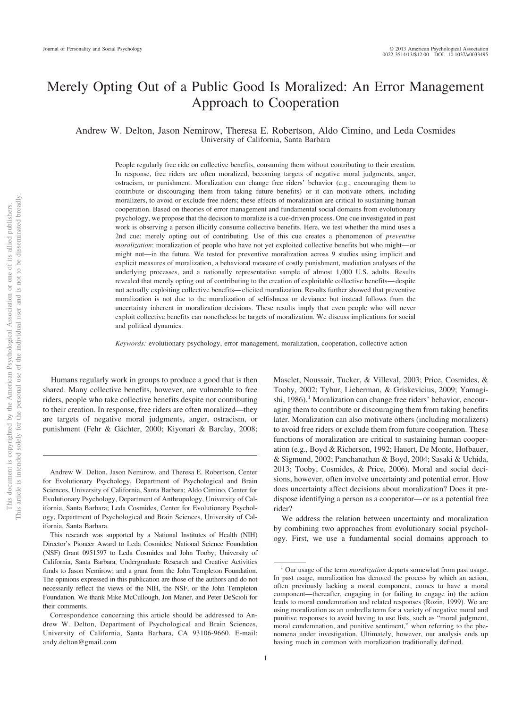# Merely Opting Out of a Public Good Is Moralized: An Error Management Approach to Cooperation

Andrew W. Delton, Jason Nemirow, Theresa E. Robertson, Aldo Cimino, and Leda Cosmides University of California, Santa Barbara

> People regularly free ride on collective benefits, consuming them without contributing to their creation. In response, free riders are often moralized, becoming targets of negative moral judgments, anger, ostracism, or punishment. Moralization can change free riders' behavior (e.g., encouraging them to contribute or discouraging them from taking future benefits) or it can motivate others, including moralizers, to avoid or exclude free riders; these effects of moralization are critical to sustaining human cooperation. Based on theories of error management and fundamental social domains from evolutionary psychology, we propose that the decision to moralize is a cue-driven process. One cue investigated in past work is observing a person illicitly consume collective benefits. Here, we test whether the mind uses a 2nd cue: merely opting out of contributing. Use of this cue creates a phenomenon of *preventive moralization*: moralization of people who have not yet exploited collective benefits but who might—or might not—in the future. We tested for preventive moralization across 9 studies using implicit and explicit measures of moralization, a behavioral measure of costly punishment, mediation analyses of the underlying processes, and a nationally representative sample of almost 1,000 U.S. adults. Results revealed that merely opting out of contributing to the creation of exploitable collective benefits— despite not actually exploiting collective benefits— elicited moralization. Results further showed that preventive moralization is not due to the moralization of selfishness or deviance but instead follows from the uncertainty inherent in moralization decisions. These results imply that even people who will never exploit collective benefits can nonetheless be targets of moralization. We discuss implications for social and political dynamics.

*Keywords:* evolutionary psychology, error management, moralization, cooperation, collective action

Humans regularly work in groups to produce a good that is then shared. Many collective benefits, however, are vulnerable to free riders, people who take collective benefits despite not contributing to their creation. In response, free riders are often moralized—they are targets of negative moral judgments, anger, ostracism, or punishment (Fehr & Gächter, 2000; Kiyonari & Barclay, 2008;

Andrew W. Delton, Jason Nemirow, and Theresa E. Robertson, Center for Evolutionary Psychology, Department of Psychological and Brain Sciences, University of California, Santa Barbara; Aldo Cimino, Center for Evolutionary Psychology, Department of Anthropology, University of California, Santa Barbara; Leda Cosmides, Center for Evolutionary Psychology, Department of Psychological and Brain Sciences, University of California, Santa Barbara.

This research was supported by a National Institutes of Health (NIH) Director's Pioneer Award to Leda Cosmides; National Science Foundation (NSF) Grant 0951597 to Leda Cosmides and John Tooby; University of California, Santa Barbara, Undergraduate Research and Creative Activities funds to Jason Nemirow; and a grant from the John Templeton Foundation. The opinions expressed in this publication are those of the authors and do not necessarily reflect the views of the NIH, the NSF, or the John Templeton Foundation. We thank Mike McCullough, Jon Maner, and Peter DeScioli for their comments.

Masclet, Noussair, Tucker, & Villeval, 2003; Price, Cosmides, & Tooby, 2002; Tybur, Lieberman, & Griskevicius, 2009; Yamagishi, 1986).<sup>1</sup> Moralization can change free riders' behavior, encouraging them to contribute or discouraging them from taking benefits later. Moralization can also motivate others (including moralizers) to avoid free riders or exclude them from future cooperation. These functions of moralization are critical to sustaining human cooperation (e.g., Boyd & Richerson, 1992; Hauert, De Monte, Hofbauer, & Sigmund, 2002; Panchanathan & Boyd, 2004; Sasaki & Uchida, 2013; Tooby, Cosmides, & Price, 2006). Moral and social decisions, however, often involve uncertainty and potential error. How does uncertainty affect decisions about moralization? Does it predispose identifying a person as a cooperator— or as a potential free rider?

We address the relation between uncertainty and moralization by combining two approaches from evolutionary social psychology. First, we use a fundamental social domains approach to

Correspondence concerning this article should be addressed to Andrew W. Delton, Department of Psychological and Brain Sciences, University of California, Santa Barbara, CA 93106-9660. E-mail: andy.delton@gmail.com

<sup>1</sup> Our usage of the term *moralization* departs somewhat from past usage. In past usage, moralization has denoted the process by which an action, often previously lacking a moral component, comes to have a moral component—thereafter, engaging in (or failing to engage in) the action leads to moral condemnation and related responses (Rozin, 1999). We are using moralization as an umbrella term for a variety of negative moral and punitive responses to avoid having to use lists, such as "moral judgment, moral condemnation, and punitive sentiment," when referring to the phenomena under investigation. Ultimately, however, our analysis ends up having much in common with moralization traditionally defined.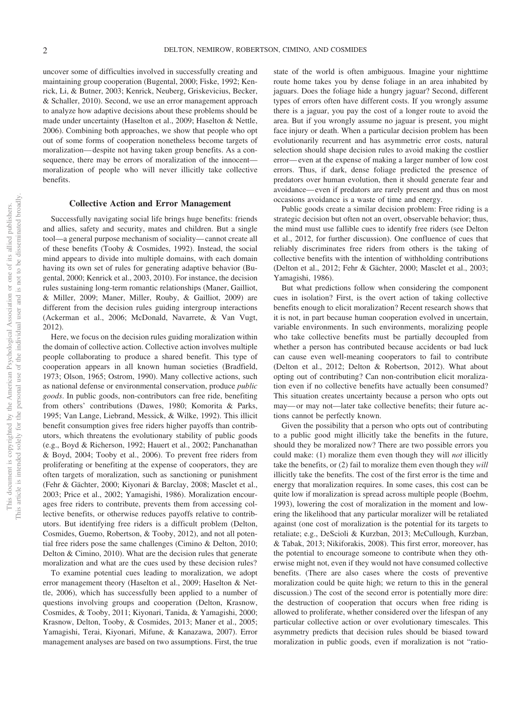uncover some of difficulties involved in successfully creating and maintaining group cooperation (Bugental, 2000; Fiske, 1992; Kenrick, Li, & Butner, 2003; Kenrick, Neuberg, Griskevicius, Becker, & Schaller, 2010). Second, we use an error management approach to analyze how adaptive decisions about these problems should be made under uncertainty (Haselton et al., 2009; Haselton & Nettle, 2006). Combining both approaches, we show that people who opt out of some forms of cooperation nonetheless become targets of moralization— despite not having taken group benefits. As a consequence, there may be errors of moralization of the innocent moralization of people who will never illicitly take collective benefits.

## **Collective Action and Error Management**

Successfully navigating social life brings huge benefits: friends and allies, safety and security, mates and children. But a single tool—a general purpose mechanism of sociality— cannot create all of these benefits (Tooby & Cosmides, 1992). Instead, the social mind appears to divide into multiple domains, with each domain having its own set of rules for generating adaptive behavior (Bugental, 2000; Kenrick et al., 2003, 2010). For instance, the decision rules sustaining long-term romantic relationships (Maner, Gailliot, & Miller, 2009; Maner, Miller, Rouby, & Gailliot, 2009) are different from the decision rules guiding intergroup interactions (Ackerman et al., 2006; McDonald, Navarrete, & Van Vugt, 2012).

Here, we focus on the decision rules guiding moralization within the domain of collective action. Collective action involves multiple people collaborating to produce a shared benefit. This type of cooperation appears in all known human societies (Bradfield, 1973; Olson, 1965; Ostrom, 1990). Many collective actions, such as national defense or environmental conservation, produce *public goods*. In public goods, non-contributors can free ride, benefiting from others' contributions (Dawes, 1980; Komorita & Parks, 1995; Van Lange, Liebrand, Messick, & Wilke, 1992). This illicit benefit consumption gives free riders higher payoffs than contributors, which threatens the evolutionary stability of public goods (e.g., Boyd & Richerson, 1992; Hauert et al., 2002; Panchanathan & Boyd, 2004; Tooby et al., 2006). To prevent free riders from proliferating or benefiting at the expense of cooperators, they are often targets of moralization, such as sanctioning or punishment (Fehr & Gächter, 2000; Kiyonari & Barclay, 2008; Masclet et al., 2003; Price et al., 2002; Yamagishi, 1986). Moralization encourages free riders to contribute, prevents them from accessing collective benefits, or otherwise reduces payoffs relative to contributors. But identifying free riders is a difficult problem (Delton, Cosmides, Guemo, Robertson, & Tooby, 2012), and not all potential free riders pose the same challenges (Cimino & Delton, 2010; Delton & Cimino, 2010). What are the decision rules that generate moralization and what are the cues used by these decision rules?

To examine potential cues leading to moralization, we adopt error management theory (Haselton et al., 2009; Haselton & Nettle, 2006), which has successfully been applied to a number of questions involving groups and cooperation (Delton, Krasnow, Cosmides, & Tooby, 2011; Kiyonari, Tanida, & Yamagishi, 2000; Krasnow, Delton, Tooby, & Cosmides, 2013; Maner et al., 2005; Yamagishi, Terai, Kiyonari, Mifune, & Kanazawa, 2007). Error management analyses are based on two assumptions. First, the true state of the world is often ambiguous. Imagine your nighttime route home takes you by dense foliage in an area inhabited by jaguars. Does the foliage hide a hungry jaguar? Second, different types of errors often have different costs. If you wrongly assume there is a jaguar, you pay the cost of a longer route to avoid the area. But if you wrongly assume no jaguar is present, you might face injury or death. When a particular decision problem has been evolutionarily recurrent and has asymmetric error costs, natural selection should shape decision rules to avoid making the costlier error— even at the expense of making a larger number of low cost errors. Thus, if dark, dense foliage predicted the presence of predators over human evolution, then it should generate fear and avoidance— even if predators are rarely present and thus on most occasions avoidance is a waste of time and energy.

Public goods create a similar decision problem: Free riding is a strategic decision but often not an overt, observable behavior; thus, the mind must use fallible cues to identify free riders (see Delton et al., 2012, for further discussion). One confluence of cues that reliably discriminates free riders from others is the taking of collective benefits with the intention of withholding contributions (Delton et al., 2012; Fehr & Gächter, 2000; Masclet et al., 2003; Yamagishi, 1986).

But what predictions follow when considering the component cues in isolation? First, is the overt action of taking collective benefits enough to elicit moralization? Recent research shows that it is not, in part because human cooperation evolved in uncertain, variable environments. In such environments, moralizing people who take collective benefits must be partially decoupled from whether a person has contributed because accidents or bad luck can cause even well-meaning cooperators to fail to contribute (Delton et al., 2012; Delton & Robertson, 2012). What about opting out of contributing? Can non-contribution elicit moralization even if no collective benefits have actually been consumed? This situation creates uncertainty because a person who opts out may— or may not—later take collective benefits; their future actions cannot be perfectly known.

Given the possibility that a person who opts out of contributing to a public good might illicitly take the benefits in the future, should they be moralized now? There are two possible errors you could make: (1) moralize them even though they will *not* illicitly take the benefits, or (2) fail to moralize them even though they *will* illicitly take the benefits. The cost of the first error is the time and energy that moralization requires. In some cases, this cost can be quite low if moralization is spread across multiple people (Boehm, 1993), lowering the cost of moralization in the moment and lowering the likelihood that any particular moralizer will be retaliated against (one cost of moralization is the potential for its targets to retaliate; e.g., DeScioli & Kurzban, 2013; McCullough, Kurzban, & Tabak, 2013; Nikiforakis, 2008). This first error, moreover, has the potential to encourage someone to contribute when they otherwise might not, even if they would not have consumed collective benefits. (There are also cases where the costs of preventive moralization could be quite high; we return to this in the general discussion.) The cost of the second error is potentially more dire: the destruction of cooperation that occurs when free riding is allowed to proliferate, whether considered over the lifespan of any particular collective action or over evolutionary timescales. This asymmetry predicts that decision rules should be biased toward moralization in public goods, even if moralization is not "ratio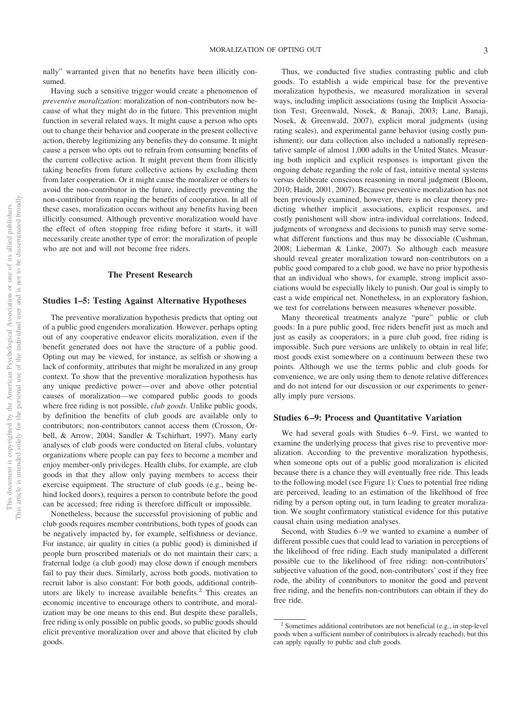nally" warranted given that no benefits have been illicitly consumed.

Having such a sensitive trigger would create a phenomenon of *preventive moralization*: moralization of non-contributors now because of what they might do in the future. This prevention might function in several related ways. It might cause a person who opts out to change their behavior and cooperate in the present collective action, thereby legitimizing any benefits they do consume. It might cause a person who opts out to refrain from consuming benefits of the current collective action. It might prevent them from illicitly taking benefits from future collective actions by excluding them from later cooperation. Or it might cause the moralizer or others to avoid the non-contributor in the future, indirectly preventing the non-contributor from reaping the benefits of cooperation. In all of these cases, moralization occurs without any benefits having been illicitly consumed. Although preventive moralization would have the effect of often stopping free riding before it starts, it will necessarily create another type of error: the moralization of people who are not and will not become free riders.

# **The Present Research**

# **Studies 1–5: Testing Against Alternative Hypotheses**

The preventive moralization hypothesis predicts that opting out of a public good engenders moralization. However, perhaps opting out of any cooperative endeavor elicits moralization, even if the benefit generated does not have the structure of a public good. Opting out may be viewed, for instance, as selfish or showing a lack of conformity, attributes that might be moralized in any group context. To show that the preventive moralization hypothesis has any unique predictive power— over and above other potential causes of moralization—we compared public goods to goods where free riding is not possible, *club goods*. Unlike public goods, by definition the benefits of club goods are available only to contributors; non-contributors cannot access them (Crosson, Orbell, & Arrow, 2004; Sandler & Tschirhart, 1997). Many early analyses of club goods were conducted on literal clubs, voluntary organizations where people can pay fees to become a member and enjoy member-only privileges. Health clubs, for example, are club goods in that they allow only paying members to access their exercise equipment. The structure of club goods (e.g., being behind locked doors), requires a person to contribute before the good can be accessed; free riding is therefore difficult or impossible.

Nonetheless, because the successful provisioning of public and club goods requires member contributions, both types of goods can be negatively impacted by, for example, selfishness or deviance. For instance, air quality in cities (a public good) is diminished if people burn proscribed materials or do not maintain their cars; a fraternal lodge (a club good) may close down if enough members fail to pay their dues. Similarly, across both goods, motivation to recruit labor is also constant: For both goods, additional contributors are likely to increase available benefits.<sup>2</sup> This creates an economic incentive to encourage others to contribute, and moralization may be one means to this end. But despite these parallels, free riding is only possible on public goods, so public goods should elicit preventive moralization over and above that elicited by club goods.

Thus, we conducted five studies contrasting public and club goods. To establish a wide empirical base for the preventive moralization hypothesis, we measured moralization in several ways, including implicit associations (using the Implicit Association Test; Greenwald, Nosek, & Banaji, 2003; Lane, Banaji, Nosek, & Greenwald, 2007), explicit moral judgments (using rating scales), and experimental game behavior (using costly punishment); our data collection also included a nationally representative sample of almost 1,000 adults in the United States. Measuring both implicit and explicit responses is important given the ongoing debate regarding the role of fast, intuitive mental systems versus deliberate conscious reasoning in moral judgment (Bloom, 2010; Haidt, 2001, 2007). Because preventive moralization has not been previously examined, however, there is no clear theory predicting whether implicit associations, explicit responses, and costly punishment will show intra-individual correlations. Indeed, judgments of wrongness and decisions to punish may serve somewhat different functions and thus may be dissociable (Cushman, 2008; Lieberman & Linke, 2007). So although each measure should reveal greater moralization toward non-contributors on a public good compared to a club good, we have no prior hypothesis that an individual who shows, for example, strong implicit associations would be especially likely to punish. Our goal is simply to cast a wide empirical net. Nonetheless, in an exploratory fashion, we test for correlations between measures whenever possible.

Many theoretical treatments analyze "pure" public or club goods: In a pure public good, free riders benefit just as much and just as easily as cooperators; in a pure club good, free riding is impossible. Such pure versions are unlikely to obtain in real life; most goods exist somewhere on a continuum between these two points. Although we use the terms public and club goods for convenience, we are only using them to denote relative differences and do not intend for our discussion or our experiments to generally imply pure versions.

## **Studies 6 –9: Process and Quantitative Variation**

We had several goals with Studies 6-9. First, we wanted to examine the underlying process that gives rise to preventive moralization. According to the preventive moralization hypothesis, when someone opts out of a public good moralization is elicited because there is a chance they will eventually free ride. This leads to the following model (see Figure 1): Cues to potential free riding are perceived, leading to an estimation of the likelihood of free riding by a person opting out, in turn leading to greater moralization. We sought confirmatory statistical evidence for this putative causal chain using mediation analyses.

Second, with Studies 6-9 we wanted to examine a number of different possible cues that could lead to variation in perceptions of the likelihood of free riding. Each study manipulated a different possible cue to the likelihood of free riding: non-contributors' subjective valuation of the good, non-contributors' cost if they free rode, the ability of contributors to monitor the good and prevent free riding, and the benefits non-contributors can obtain if they do free ride.

<sup>2</sup> Sometimes additional contributors are not beneficial (e.g., in step-level goods when a sufficient number of contributors is already reached), but this can apply equally to public and club goods.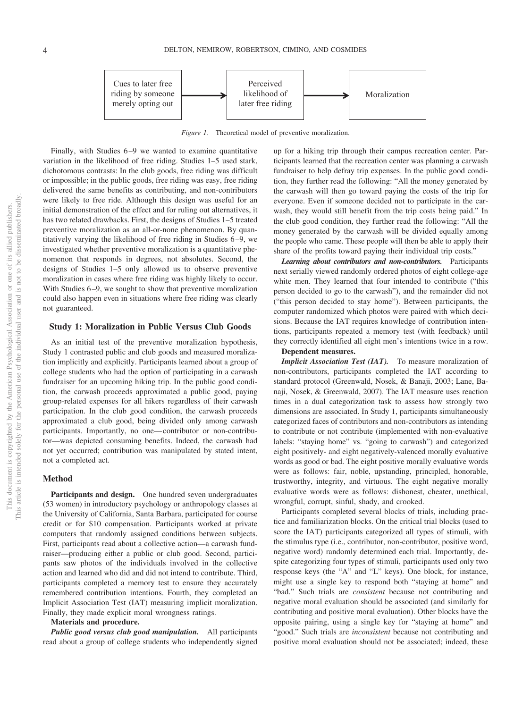

*Figure 1.* Theoretical model of preventive moralization.

Finally, with Studies 6–9 we wanted to examine quantitative variation in the likelihood of free riding. Studies 1–5 used stark, dichotomous contrasts: In the club goods, free riding was difficult or impossible; in the public goods, free riding was easy, free riding delivered the same benefits as contributing, and non-contributors were likely to free ride. Although this design was useful for an initial demonstration of the effect and for ruling out alternatives, it has two related drawbacks. First, the designs of Studies 1–5 treated preventive moralization as an all-or-none phenomenon. By quantitatively varying the likelihood of free riding in Studies 6 –9, we investigated whether preventive moralization is a quantitative phenomenon that responds in degrees, not absolutes. Second, the designs of Studies 1–5 only allowed us to observe preventive moralization in cases where free riding was highly likely to occur. With Studies 6–9, we sought to show that preventive moralization could also happen even in situations where free riding was clearly not guaranteed.

#### **Study 1: Moralization in Public Versus Club Goods**

As an initial test of the preventive moralization hypothesis, Study 1 contrasted public and club goods and measured moralization implicitly and explicitly. Participants learned about a group of college students who had the option of participating in a carwash fundraiser for an upcoming hiking trip. In the public good condition, the carwash proceeds approximated a public good, paying group-related expenses for all hikers regardless of their carwash participation. In the club good condition, the carwash proceeds approximated a club good, being divided only among carwash participants. Importantly, no one— contributor or non-contributor—was depicted consuming benefits. Indeed, the carwash had not yet occurred; contribution was manipulated by stated intent, not a completed act.

#### **Method**

**Participants and design.** One hundred seven undergraduates (53 women) in introductory psychology or anthropology classes at the University of California, Santa Barbara, participated for course credit or for \$10 compensation. Participants worked at private computers that randomly assigned conditions between subjects. First, participants read about a collective action—a carwash fundraiser—producing either a public or club good. Second, participants saw photos of the individuals involved in the collective action and learned who did and did not intend to contribute. Third, participants completed a memory test to ensure they accurately remembered contribution intentions. Fourth, they completed an Implicit Association Test (IAT) measuring implicit moralization. Finally, they made explicit moral wrongness ratings.

#### **Materials and procedure.**

*Public good versus club good manipulation.* All participants read about a group of college students who independently signed up for a hiking trip through their campus recreation center. Participants learned that the recreation center was planning a carwash fundraiser to help defray trip expenses. In the public good condition, they further read the following: "All the money generated by the carwash will then go toward paying the costs of the trip for everyone. Even if someone decided not to participate in the carwash, they would still benefit from the trip costs being paid." In the club good condition, they further read the following: "All the money generated by the carwash will be divided equally among the people who came. These people will then be able to apply their share of the profits toward paying their individual trip costs."

*Learning about contributors and non-contributors.* Participants next serially viewed randomly ordered photos of eight college-age white men. They learned that four intended to contribute ("this person decided to go to the carwash"), and the remainder did not ("this person decided to stay home"). Between participants, the computer randomized which photos were paired with which decisions. Because the IAT requires knowledge of contribution intentions, participants repeated a memory test (with feedback) until they correctly identified all eight men's intentions twice in a row.

## **Dependent measures.**

*Implicit Association Test (IAT).* To measure moralization of non-contributors, participants completed the IAT according to standard protocol (Greenwald, Nosek, & Banaji, 2003; Lane, Banaji, Nosek, & Greenwald, 2007). The IAT measure uses reaction times in a dual categorization task to assess how strongly two dimensions are associated. In Study 1, participants simultaneously categorized faces of contributors and non-contributors as intending to contribute or not contribute (implemented with non-evaluative labels: "staying home" vs. "going to carwash") and categorized eight positively- and eight negatively-valenced morally evaluative words as good or bad. The eight positive morally evaluative words were as follows: fair, noble, upstanding, principled, honorable, trustworthy, integrity, and virtuous. The eight negative morally evaluative words were as follows: dishonest, cheater, unethical, wrongful, corrupt, sinful, shady, and crooked.

Participants completed several blocks of trials, including practice and familiarization blocks. On the critical trial blocks (used to score the IAT) participants categorized all types of stimuli, with the stimulus type (i.e., contributor, non-contributor, positive word, negative word) randomly determined each trial. Importantly, despite categorizing four types of stimuli, participants used only two response keys (the "A" and "L" keys). One block, for instance, might use a single key to respond both "staying at home" and "bad." Such trials are *consistent* because not contributing and negative moral evaluation should be associated (and similarly for contributing and positive moral evaluation). Other blocks have the opposite pairing, using a single key for "staying at home" and "good." Such trials are *inconsistent* because not contributing and positive moral evaluation should not be associated; indeed, these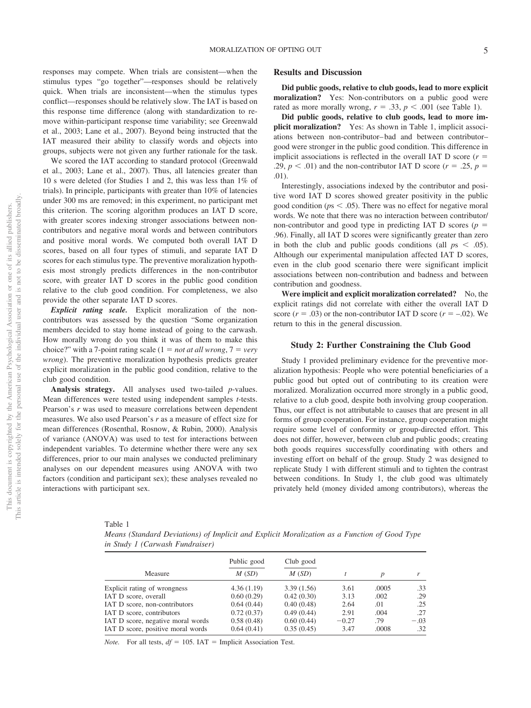responses may compete. When trials are consistent—when the stimulus types "go together"—responses should be relatively quick. When trials are inconsistent—when the stimulus types conflict—responses should be relatively slow. The IAT is based on this response time difference (along with standardization to remove within-participant response time variability; see Greenwald et al., 2003; Lane et al., 2007). Beyond being instructed that the IAT measured their ability to classify words and objects into groups, subjects were not given any further rationale for the task.

We scored the IAT according to standard protocol (Greenwald et al., 2003; Lane et al., 2007). Thus, all latencies greater than 10 s were deleted (for Studies 1 and 2, this was less than 1% of trials). In principle, participants with greater than 10% of latencies under 300 ms are removed; in this experiment, no participant met this criterion. The scoring algorithm produces an IAT D score, with greater scores indexing stronger associations between noncontributors and negative moral words and between contributors and positive moral words. We computed both overall IAT D scores, based on all four types of stimuli, and separate IAT D scores for each stimulus type. The preventive moralization hypothesis most strongly predicts differences in the non-contributor score, with greater IAT D scores in the public good condition relative to the club good condition. For completeness, we also provide the other separate IAT D scores.

*Explicit rating scale.* Explicit moralization of the noncontributors was assessed by the question "Some organization members decided to stay home instead of going to the carwash. How morally wrong do you think it was of them to make this choice?" with a 7-point rating scale  $(1 = not at all wrong, 7 = very$ *wrong*). The preventive moralization hypothesis predicts greater explicit moralization in the public good condition, relative to the club good condition.

**Analysis strategy.** All analyses used two-tailed *p*-values. Mean differences were tested using independent samples *t*-tests. Pearson's *r* was used to measure correlations between dependent measures. We also used Pearson's *r* as a measure of effect size for mean differences (Rosenthal, Rosnow, & Rubin, 2000). Analysis of variance (ANOVA) was used to test for interactions between independent variables. To determine whether there were any sex differences, prior to our main analyses we conducted preliminary analyses on our dependent measures using ANOVA with two factors (condition and participant sex); these analyses revealed no interactions with participant sex.

#### **Results and Discussion**

**Did public goods, relative to club goods, lead to more explicit moralization?** Yes: Non-contributors on a public good were rated as more morally wrong,  $r = .33$ ,  $p < .001$  (see Table 1).

**Did public goods, relative to club goods, lead to more implicit moralization?** Yes: As shown in Table 1, implicit associations between non-contributor– bad and between contributor– good were stronger in the public good condition. This difference in implicit associations is reflected in the overall IAT D score  $(r =$ .29,  $p < .01$ ) and the non-contributor IAT D score ( $r = .25$ ,  $p = .25$ .01).

Interestingly, associations indexed by the contributor and positive word IAT D scores showed greater positivity in the public good condition ( $ps < .05$ ). There was no effect for negative moral words. We note that there was no interaction between contributor/ non-contributor and good type in predicting IAT D scores ( $p =$ .96). Finally, all IAT D scores were significantly greater than zero in both the club and public goods conditions (all  $ps < .05$ ). Although our experimental manipulation affected IAT D scores, even in the club good scenario there were significant implicit associations between non-contribution and badness and between contribution and goodness.

**Were implicit and explicit moralization correlated?** No, the explicit ratings did not correlate with either the overall IAT D score  $(r = .03)$  or the non-contributor IAT D score  $(r = -.02)$ . We return to this in the general discussion.

# **Study 2: Further Constraining the Club Good**

Study 1 provided preliminary evidence for the preventive moralization hypothesis: People who were potential beneficiaries of a public good but opted out of contributing to its creation were moralized. Moralization occurred more strongly in a public good, relative to a club good, despite both involving group cooperation. Thus, our effect is not attributable to causes that are present in all forms of group cooperation. For instance, group cooperation might require some level of conformity or group-directed effort. This does not differ, however, between club and public goods; creating both goods requires successfully coordinating with others and investing effort on behalf of the group. Study 2 was designed to replicate Study 1 with different stimuli and to tighten the contrast between conditions. In Study 1, the club good was ultimately privately held (money divided among contributors), whereas the

Table 1

| Means (Standard Deviations) of Implicit and Explicit Moralization as a Function of Good Type |  |  |  |
|----------------------------------------------------------------------------------------------|--|--|--|
| in Study 1 (Carwash Fundraiser)                                                              |  |  |  |

| Measure                           | Public good<br>M(SD) | Club good<br>M(SD) |         | p     |        |
|-----------------------------------|----------------------|--------------------|---------|-------|--------|
| Explicit rating of wrongness      | 4.36(1.19)           | 3.39(1.56)         | 3.61    | .0005 | .33    |
| IAT D score, overall              | 0.60(0.29)           | 0.42(0.30)         | 3.13    | .002  | .29    |
| IAT D score, non-contributors     | 0.64(0.44)           | 0.40(0.48)         | 2.64    | .01   | .25    |
| IAT D score, contributors         | 0.72(0.37)           | 0.49(0.44)         | 2.91    | .004  | .27    |
| IAT D score, negative moral words | 0.58(0.48)           | 0.60(0.44)         | $-0.27$ | .79   | $-.03$ |
| IAT D score, positive moral words | 0.64(0.41)           | 0.35(0.45)         | 3.47    | .0008 | .32    |

*Note.* For all tests,  $df = 105$ . IAT = Implicit Association Test.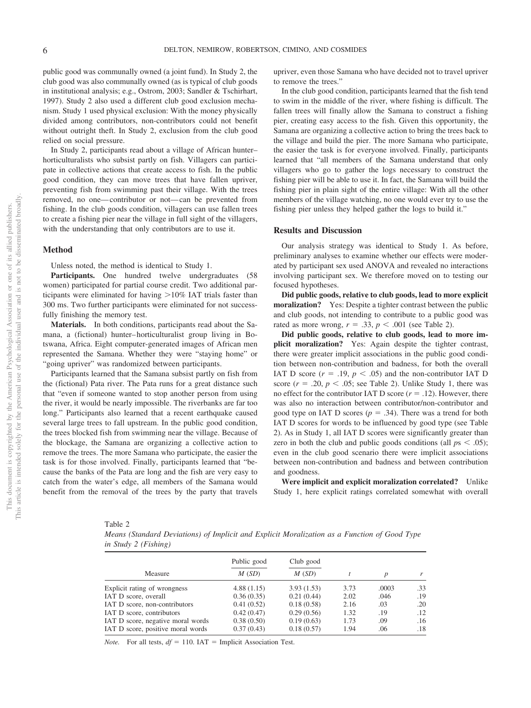public good was communally owned (a joint fund). In Study 2, the club good was also communally owned (as is typical of club goods in institutional analysis; e.g., Ostrom, 2003; Sandler & Tschirhart, 1997). Study 2 also used a different club good exclusion mechanism. Study 1 used physical exclusion: With the money physically divided among contributors, non-contributors could not benefit without outright theft. In Study 2, exclusion from the club good relied on social pressure.

In Study 2, participants read about a village of African hunter– horticulturalists who subsist partly on fish. Villagers can participate in collective actions that create access to fish. In the public good condition, they can move trees that have fallen upriver, preventing fish from swimming past their village. With the trees removed, no one— contributor or not— can be prevented from fishing. In the club goods condition, villagers can use fallen trees to create a fishing pier near the village in full sight of the villagers, with the understanding that only contributors are to use it.

#### **Method**

Unless noted, the method is identical to Study 1.

Participants. One hundred twelve undergraduates (58 women) participated for partial course credit. Two additional participants were eliminated for having  $>10\%$  IAT trials faster than 300 ms. Two further participants were eliminated for not successfully finishing the memory test.

**Materials.** In both conditions, participants read about the Samana, a (fictional) hunter– horticulturalist group living in Botswana, Africa. Eight computer-generated images of African men represented the Samana. Whether they were "staying home" or "going upriver" was randomized between participants.

Participants learned that the Samana subsist partly on fish from the (fictional) Pata river. The Pata runs for a great distance such that "even if someone wanted to stop another person from using the river, it would be nearly impossible. The riverbanks are far too long." Participants also learned that a recent earthquake caused several large trees to fall upstream. In the public good condition, the trees blocked fish from swimming near the village. Because of the blockage, the Samana are organizing a collective action to remove the trees. The more Samana who participate, the easier the task is for those involved. Finally, participants learned that "because the banks of the Pata are long and the fish are very easy to catch from the water's edge, all members of the Samana would benefit from the removal of the trees by the party that travels

upriver, even those Samana who have decided not to travel upriver to remove the trees."

In the club good condition, participants learned that the fish tend to swim in the middle of the river, where fishing is difficult. The fallen trees will finally allow the Samana to construct a fishing pier, creating easy access to the fish. Given this opportunity, the Samana are organizing a collective action to bring the trees back to the village and build the pier. The more Samana who participate, the easier the task is for everyone involved. Finally, participants learned that "all members of the Samana understand that only villagers who go to gather the logs necessary to construct the fishing pier will be able to use it. In fact, the Samana will build the fishing pier in plain sight of the entire village: With all the other members of the village watching, no one would ever try to use the fishing pier unless they helped gather the logs to build it."

#### **Results and Discussion**

Our analysis strategy was identical to Study 1. As before, preliminary analyses to examine whether our effects were moderated by participant sex used ANOVA and revealed no interactions involving participant sex. We therefore moved on to testing our focused hypotheses.

**Did public goods, relative to club goods, lead to more explicit moralization?** Yes: Despite a tighter contrast between the public and club goods, not intending to contribute to a public good was rated as more wrong,  $r = .33$ ,  $p < .001$  (see Table 2).

**Did public goods, relative to club goods, lead to more implicit moralization?** Yes: Again despite the tighter contrast, there were greater implicit associations in the public good condition between non-contribution and badness, for both the overall IAT D score  $(r = .19, p < .05)$  and the non-contributor IAT D score  $(r = .20, p < .05$ ; see Table 2). Unlike Study 1, there was no effect for the contributor IAT D score  $(r = .12)$ . However, there was also no interaction between contributor/non-contributor and good type on IAT D scores ( $p = .34$ ). There was a trend for both IAT D scores for words to be influenced by good type (see Table 2). As in Study 1, all IAT D scores were significantly greater than zero in both the club and public goods conditions (all  $ps < .05$ ); even in the club good scenario there were implicit associations between non-contribution and badness and between contribution and goodness.

**Were implicit and explicit moralization correlated?** Unlike Study 1, here explicit ratings correlated somewhat with overall

Table 2

|                             |  |  | Means (Standard Deviations) of Implicit and Explicit Moralization as a Function of Good Type |  |  |
|-----------------------------|--|--|----------------------------------------------------------------------------------------------|--|--|
| <i>in Study 2 (Fishing)</i> |  |  |                                                                                              |  |  |

|                                   | Public good | Club good  |      |       |         |
|-----------------------------------|-------------|------------|------|-------|---------|
| Measure                           | M(SD)       | M(SD)      |      |       |         |
| Explicit rating of wrongness      | 4.88(1.15)  | 3.93(1.53) | 3.73 | .0003 | .33     |
| IAT D score, overall              | 0.36(0.35)  | 0.21(0.44) | 2.02 | .046  | .19     |
| IAT D score, non-contributors     | 0.41(0.52)  | 0.18(0.58) | 2.16 | .03   | .20     |
| IAT D score, contributors         | 0.42(0.47)  | 0.29(0.56) | 1.32 | .19   | $.12\,$ |
| IAT D score, negative moral words | 0.38(0.50)  | 0.19(0.63) | 1.73 | .09   | .16     |
| IAT D score, positive moral words | 0.37(0.43)  | 0.18(0.57) | 1.94 | .06   | .18     |

*Note.* For all tests,  $df = 110$ . IAT = Implicit Association Test.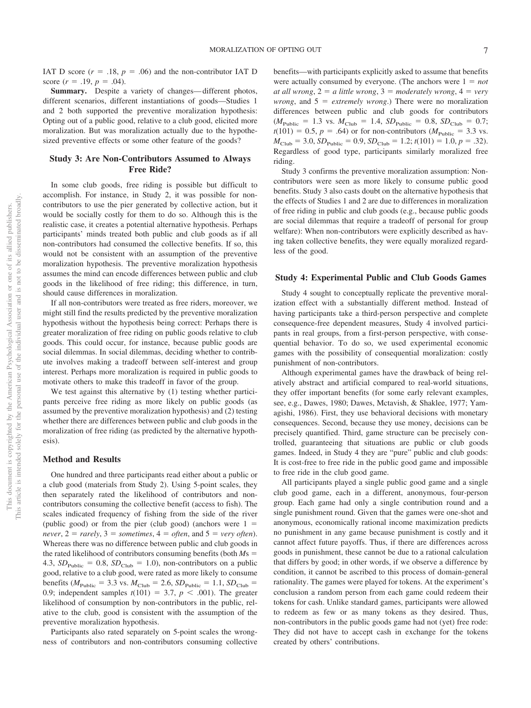IAT D score  $(r = .18, p = .06)$  and the non-contributor IAT D score  $(r = .19, p = .04)$ .

**Summary.** Despite a variety of changes— different photos, different scenarios, different instantiations of goods—Studies 1 and 2 both supported the preventive moralization hypothesis: Opting out of a public good, relative to a club good, elicited more moralization. But was moralization actually due to the hypothesized preventive effects or some other feature of the goods?

# **Study 3: Are Non-Contributors Assumed to Always Free Ride?**

In some club goods, free riding is possible but difficult to accomplish. For instance, in Study 2, it was possible for noncontributors to use the pier generated by collective action, but it would be socially costly for them to do so. Although this is the realistic case, it creates a potential alternative hypothesis. Perhaps participants' minds treated both public and club goods as if all non-contributors had consumed the collective benefits. If so, this would not be consistent with an assumption of the preventive moralization hypothesis. The preventive moralization hypothesis assumes the mind can encode differences between public and club goods in the likelihood of free riding; this difference, in turn, should cause differences in moralization.

If all non-contributors were treated as free riders, moreover, we might still find the results predicted by the preventive moralization hypothesis without the hypothesis being correct: Perhaps there is greater moralization of free riding on public goods relative to club goods. This could occur, for instance, because public goods are social dilemmas. In social dilemmas, deciding whether to contribute involves making a tradeoff between self-interest and group interest. Perhaps more moralization is required in public goods to motivate others to make this tradeoff in favor of the group.

We test against this alternative by  $(1)$  testing whether participants perceive free riding as more likely on public goods (as assumed by the preventive moralization hypothesis) and (2) testing whether there are differences between public and club goods in the moralization of free riding (as predicted by the alternative hypothesis).

# **Method and Results**

One hundred and three participants read either about a public or a club good (materials from Study 2). Using 5-point scales, they then separately rated the likelihood of contributors and noncontributors consuming the collective benefit (access to fish). The scales indicated frequency of fishing from the side of the river (public good) or from the pier (club good) (anchors were  $1 =$ *never*,  $2 = rarely$ ,  $3 = sometimes$ ,  $4 = often$ , and  $5 = very$  *often*). Whereas there was no difference between public and club goods in the rated likelihood of contributors consuming benefits (both *M*s 4.3,  $SD_{Public} = 0.8$ ,  $SD_{Club} = 1.0$ ), non-contributors on a public good, relative to a club good, were rated as more likely to consume benefits ( $M_{\text{Public}} = 3.3$  vs.  $M_{\text{Club}} = 2.6$ ,  $SD_{\text{Public}} = 1.1$ ,  $SD_{\text{Club}} =$ 0.9; independent samples  $t(101) = 3.7$ ,  $p < .001$ ). The greater likelihood of consumption by non-contributors in the public, relative to the club, good is consistent with the assumption of the preventive moralization hypothesis.

Participants also rated separately on 5-point scales the wrongness of contributors and non-contributors consuming collective

benefits—with participants explicitly asked to assume that benefits were actually consumed by everyone. (The anchors were  $1 = not$ *at all wrong*,  $2 = a$  *little wrong*,  $3 =$  *moderately wrong*,  $4 =$  *very wrong*, and  $5 =$  *extremely wrong*.) There were no moralization differences between public and club goods for contributors  $(M_{\text{Public}} = 1.3 \text{ vs. } M_{\text{Club}} = 1.4, SD_{\text{Public}} = 0.8, SD_{\text{Club}} = 0.7;$  $t(101) = 0.5, p = .64$ ) or for non-contributors ( $M_{\text{Public}} = 3.3$  vs.  $M_{\text{Club}} = 3.0$ ,  $SD_{\text{Public}} = 0.9$ ,  $SD_{\text{Club}} = 1.2$ ;  $t(101) = 1.0$ ,  $p = .32$ ). Regardless of good type, participants similarly moralized free riding.

Study 3 confirms the preventive moralization assumption: Noncontributors were seen as more likely to consume public good benefits. Study 3 also casts doubt on the alternative hypothesis that the effects of Studies 1 and 2 are due to differences in moralization of free riding in public and club goods (e.g., because public goods are social dilemmas that require a tradeoff of personal for group welfare): When non-contributors were explicitly described as having taken collective benefits, they were equally moralized regardless of the good.

#### **Study 4: Experimental Public and Club Goods Games**

Study 4 sought to conceptually replicate the preventive moralization effect with a substantially different method. Instead of having participants take a third-person perspective and complete consequence-free dependent measures, Study 4 involved participants in real groups, from a first-person perspective, with consequential behavior. To do so, we used experimental economic games with the possibility of consequential moralization: costly punishment of non-contributors.

Although experimental games have the drawback of being relatively abstract and artificial compared to real-world situations, they offer important benefits (for some early relevant examples, see, e.g., Dawes, 1980; Dawes, Mctavish, & Shaklee, 1977; Yamagishi, 1986). First, they use behavioral decisions with monetary consequences. Second, because they use money, decisions can be precisely quantified. Third, game structure can be precisely controlled, guaranteeing that situations are public or club goods games. Indeed, in Study 4 they are "pure" public and club goods: It is cost-free to free ride in the public good game and impossible to free ride in the club good game.

All participants played a single public good game and a single club good game, each in a different, anonymous, four-person group. Each game had only a single contribution round and a single punishment round. Given that the games were one-shot and anonymous, economically rational income maximization predicts no punishment in any game because punishment is costly and it cannot affect future payoffs. Thus, if there are differences across goods in punishment, these cannot be due to a rational calculation that differs by good; in other words, if we observe a difference by condition, it cannot be ascribed to this process of domain-general rationality. The games were played for tokens. At the experiment's conclusion a random person from each game could redeem their tokens for cash. Unlike standard games, participants were allowed to redeem as few or as many tokens as they desired. Thus, non-contributors in the public goods game had not (yet) free rode: They did not have to accept cash in exchange for the tokens created by others' contributions.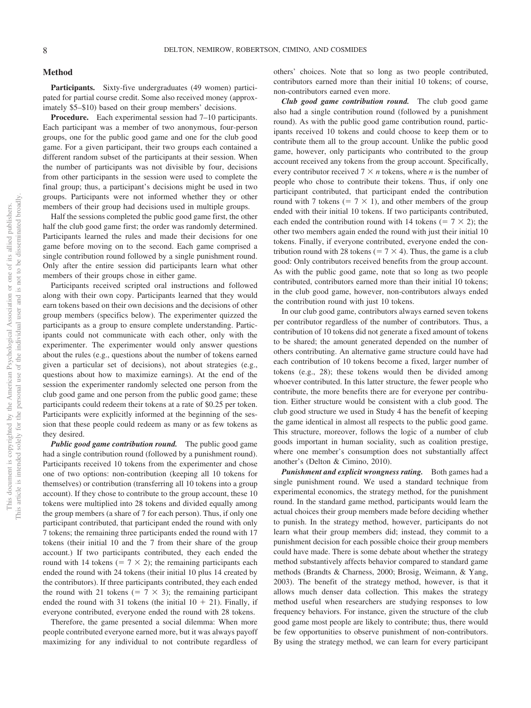## **Method**

Participants. Sixty-five undergraduates (49 women) participated for partial course credit. Some also received money (approximately \$5–\$10) based on their group members' decisions.

**Procedure.** Each experimental session had 7–10 participants. Each participant was a member of two anonymous, four-person groups, one for the public good game and one for the club good game. For a given participant, their two groups each contained a different random subset of the participants at their session. When the number of participants was not divisible by four, decisions from other participants in the session were used to complete the final group; thus, a participant's decisions might be used in two groups. Participants were not informed whether they or other members of their group had decisions used in multiple groups.

Half the sessions completed the public good game first, the other half the club good game first; the order was randomly determined. Participants learned the rules and made their decisions for one game before moving on to the second. Each game comprised a single contribution round followed by a single punishment round. Only after the entire session did participants learn what other members of their groups chose in either game.

Participants received scripted oral instructions and followed along with their own copy. Participants learned that they would earn tokens based on their own decisions and the decisions of other group members (specifics below). The experimenter quizzed the participants as a group to ensure complete understanding. Participants could not communicate with each other, only with the experimenter. The experimenter would only answer questions about the rules (e.g., questions about the number of tokens earned given a particular set of decisions), not about strategies (e.g., questions about how to maximize earnings). At the end of the session the experimenter randomly selected one person from the club good game and one person from the public good game; these participants could redeem their tokens at a rate of \$0.25 per token. Participants were explicitly informed at the beginning of the session that these people could redeem as many or as few tokens as they desired.

*Public good game contribution round.* The public good game had a single contribution round (followed by a punishment round). Participants received 10 tokens from the experimenter and chose one of two options: non-contribution (keeping all 10 tokens for themselves) or contribution (transferring all 10 tokens into a group account). If they chose to contribute to the group account, these 10 tokens were multiplied into 28 tokens and divided equally among the group members (a share of 7 for each person). Thus, if only one participant contributed, that participant ended the round with only 7 tokens; the remaining three participants ended the round with 17 tokens (their initial 10 and the 7 from their share of the group account.) If two participants contributed, they each ended the round with 14 tokens ( $= 7 \times 2$ ); the remaining participants each ended the round with 24 tokens (their initial 10 plus 14 created by the contributors). If three participants contributed, they each ended the round with 21 tokens ( $= 7 \times 3$ ); the remaining participant ended the round with 31 tokens (the initial  $10 + 21$ ). Finally, if everyone contributed, everyone ended the round with 28 tokens.

Therefore, the game presented a social dilemma: When more people contributed everyone earned more, but it was always payoff maximizing for any individual to not contribute regardless of others' choices. Note that so long as two people contributed, contributors earned more than their initial 10 tokens; of course, non-contributors earned even more.

*Club good game contribution round.* The club good game also had a single contribution round (followed by a punishment round). As with the public good game contribution round, participants received 10 tokens and could choose to keep them or to contribute them all to the group account. Unlike the public good game, however, only participants who contributed to the group account received any tokens from the group account. Specifically, every contributor received  $7 \times n$  tokens, where *n* is the number of people who chose to contribute their tokens. Thus, if only one participant contributed, that participant ended the contribution round with 7 tokens ( $= 7 \times 1$ ), and other members of the group ended with their initial 10 tokens. If two participants contributed, each ended the contribution round with 14 tokens ( $= 7 \times 2$ ); the other two members again ended the round with just their initial 10 tokens. Finally, if everyone contributed, everyone ended the contribution round with 28 tokens ( $= 7 \times 4$ ). Thus, the game is a club good: Only contributors received benefits from the group account. As with the public good game, note that so long as two people contributed, contributors earned more than their initial 10 tokens; in the club good game, however, non-contributors always ended the contribution round with just 10 tokens.

In our club good game, contributors always earned seven tokens per contributor regardless of the number of contributors. Thus, a contribution of 10 tokens did not generate a fixed amount of tokens to be shared; the amount generated depended on the number of others contributing. An alternative game structure could have had each contribution of 10 tokens become a fixed, larger number of tokens (e.g., 28); these tokens would then be divided among whoever contributed. In this latter structure, the fewer people who contribute, the more benefits there are for everyone per contribution. Either structure would be consistent with a club good. The club good structure we used in Study 4 has the benefit of keeping the game identical in almost all respects to the public good game. This structure, moreover, follows the logic of a number of club goods important in human sociality, such as coalition prestige, where one member's consumption does not substantially affect another's (Delton & Cimino, 2010).

**Punishment and explicit wrongness rating.** Both games had a single punishment round. We used a standard technique from experimental economics, the strategy method, for the punishment round. In the standard game method, participants would learn the actual choices their group members made before deciding whether to punish. In the strategy method, however, participants do not learn what their group members did; instead, they commit to a punishment decision for each possible choice their group members could have made. There is some debate about whether the strategy method substantively affects behavior compared to standard game methods (Brandts & Charness, 2000; Brosig, Weimann, & Yang, 2003). The benefit of the strategy method, however, is that it allows much denser data collection. This makes the strategy method useful when researchers are studying responses to low frequency behaviors. For instance, given the structure of the club good game most people are likely to contribute; thus, there would be few opportunities to observe punishment of non-contributors. By using the strategy method, we can learn for every participant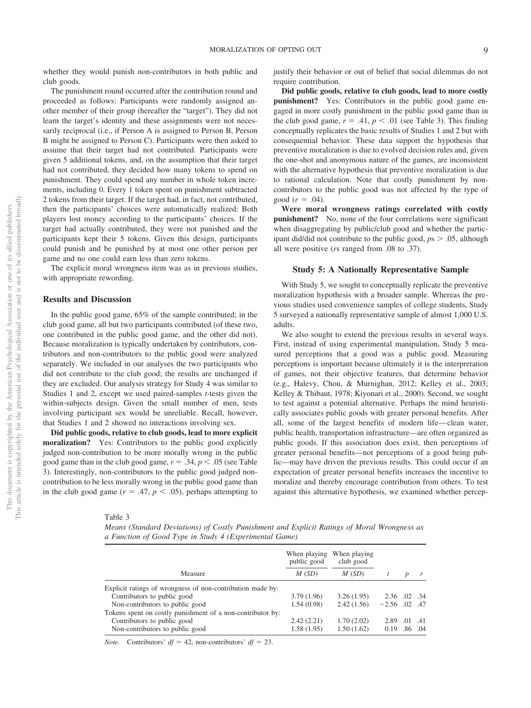whether they would punish non-contributors in both public and club goods.

The punishment round occurred after the contribution round and proceeded as follows: Participants were randomly assigned another member of their group (hereafter the "target"). They did not learn the target's identity and these assignments were not necessarily reciprocal (i.e., if Person A is assigned to Person B, Person B might be assigned to Person C). Participants were then asked to assume that their target had not contributed. Participants were given 5 additional tokens, and, on the assumption that their target had not contributed, they decided how many tokens to spend on punishment. They could spend any number in whole token increments, including 0. Every 1 token spent on punishment subtracted 2 tokens from their target. If the target had, in fact, not contributed, then the participants' choices were automatically realized: Both players lost money according to the participants' choices. If the target had actually contributed, they were not punished and the participants kept their 5 tokens. Given this design, participants could punish and be punished by at most one other person per game and no one could earn less than zero tokens.

The explicit moral wrongness item was as in previous studies, with appropriate rewording.

#### **Results and Discussion**

In the public good game, 65% of the sample contributed; in the club good game, all but two participants contributed (of these two, one contributed in the public good game, and the other did not). Because moralization is typically undertaken by contributors, contributors and non-contributors to the public good were analyzed separately. We included in our analyses the two participants who did not contribute to the club good; the results are unchanged if they are excluded. Our analysis strategy for Study 4 was similar to Studies 1 and 2, except we used paired-samples *t*-tests given the within-subjects design. Given the small number of men, tests involving participant sex would be unreliable. Recall, however, that Studies 1 and 2 showed no interactions involving sex.

**Did public goods, relative to club goods, lead to more explicit moralization?** Yes: Contributors to the public good explicitly judged non-contribution to be more morally wrong in the public good game than in the club good game,  $r = .34$ ,  $p < .05$  (see Table 3). Interestingly, non-contributors to the public good judged noncontribution to be less morally wrong in the public good game than in the club good game  $(r = .47, p < .05)$ , perhaps attempting to

Table 3

*Means (Standard Deviations) of Costly Punishment and Explicit Ratings of Moral Wrongness as a Function of Good Type in Study 4 (Experimental Game)*

|                                                            | When playing<br>public good | When playing<br>club good |                 |   |     |
|------------------------------------------------------------|-----------------------------|---------------------------|-----------------|---|-----|
| Measure                                                    | M(SD)                       | M(SD)                     |                 | n | r   |
| Explicit ratings of wrongness of non-contribution made by: |                             |                           |                 |   |     |
| Contributors to public good                                | 3.79(1.96)                  | 3.26(1.95)                | 2.36 .02 .34    |   |     |
| Non-contributors to public good                            | 1.54(0.98)                  | 2.42(1.56)                | $-2.56$ .02 .47 |   |     |
| Tokens spent on costly punishment of a non-contributor by: |                             |                           |                 |   |     |
| Contributors to public good                                | 2.42(2.21)                  | 1.70(2.02)                | 2.89 .01        |   | .41 |
| Non-contributors to public good                            | 1.58(1.95)                  | 1.50(1.62)                | 0.19 .86 .04    |   |     |

*Note.* Contributors'  $df = 42$ , non-contributors'  $df = 23$ .

justify their behavior or out of belief that social dilemmas do not require contribution.

**Did public goods, relative to club goods, lead to more costly punishment?** Yes: Contributors in the public good game engaged in more costly punishment in the public good game than in the club good game,  $r = .41$ ,  $p < .01$  (see Table 3). This finding conceptually replicates the basic results of Studies 1 and 2 but with consequential behavior. These data support the hypothesis that preventive moralization is due to evolved decision rules and, given the one-shot and anonymous nature of the games, are inconsistent with the alternative hypothesis that preventive moralization is due to rational calculation. Note that costly punishment by noncontributors to the public good was not affected by the type of good  $(r = .04)$ .

**Were moral wrongness ratings correlated with costly punishment?** No, none of the four correlations were significant when disaggregating by public/club good and whether the participant did/did not contribute to the public good,  $p_s > .05$ , although all were positive (*r*s ranged from .08 to .37).

# **Study 5: A Nationally Representative Sample**

With Study 5, we sought to conceptually replicate the preventive moralization hypothesis with a broader sample. Whereas the previous studies used convenience samples of college students, Study 5 surveyed a nationally representative sample of almost 1,000 U.S. adults.

We also sought to extend the previous results in several ways. First, instead of using experimental manipulation, Study 5 measured perceptions that a good was a public good. Measuring perceptions is important because ultimately it is the interpretation of games, not their objective features, that determine behavior (e.g., Halevy, Chou, & Murnighan, 2012; Kelley et al., 2003; Kelley & Thibaut, 1978; Kiyonari et al., 2000). Second, we sought to test against a potential alternative. Perhaps the mind heuristically associates public goods with greater personal benefits. After all, some of the largest benefits of modern life— clean water, public health, transportation infrastructure—are often organized as public goods. If this association does exist, then perceptions of greater personal benefits—not perceptions of a good being public—may have driven the previous results. This could occur if an expectation of greater personal benefits increases the incentive to moralize and thereby encourage contribution from others. To test against this alternative hypothesis, we examined whether percep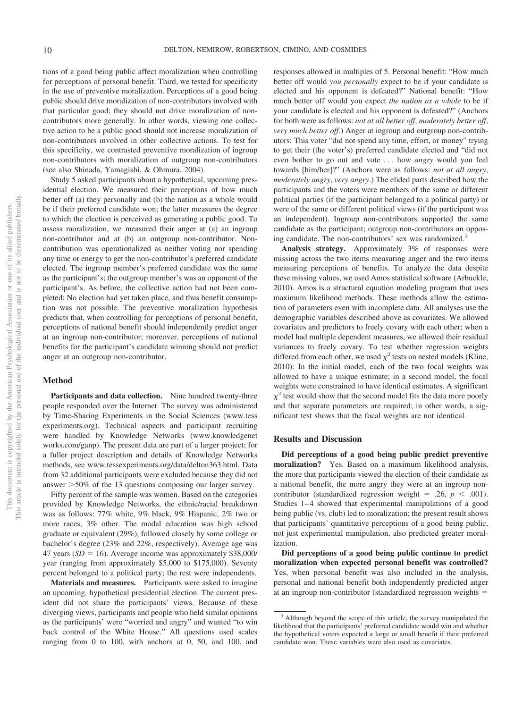tions of a good being public affect moralization when controlling for perceptions of personal benefit. Third, we tested for specificity in the use of preventive moralization. Perceptions of a good being public should drive moralization of non-contributors involved with that particular good; they should not drive moralization of noncontributors more generally. In other words, viewing one collective action to be a public good should not increase moralization of non-contributors involved in other collective actions. To test for this specificity, we contrasted preventive moralization of ingroup non-contributors with moralization of outgroup non-contributors (see also Shinada, Yamagishi, & Ohmura, 2004).

Study 5 asked participants about a hypothetical, upcoming presidential election. We measured their perceptions of how much better off (a) they personally and (b) the nation as a whole would be if their preferred candidate won; the latter measures the degree to which the election is perceived as generating a public good. To assess moralization, we measured their anger at (a) an ingroup non-contributor and at (b) an outgroup non-contributor. Noncontribution was operationalized as neither voting nor spending any time or energy to get the non-contributor's preferred candidate elected. The ingroup member's preferred candidate was the same as the participant's; the outgroup member's was an opponent of the participant's. As before, the collective action had not been completed: No election had yet taken place, and thus benefit consumption was not possible. The preventive moralization hypothesis predicts that, when controlling for perceptions of personal benefit, perceptions of national benefit should independently predict anger at an ingroup non-contributor; moreover, perceptions of national benefits for the participant's candidate winning should not predict anger at an outgroup non-contributor.

#### **Method**

**Participants and data collection.** Nine hundred twenty-three people responded over the Internet. The survey was administered by Time-Sharing Experiments in the Social Sciences (www.tess experiments.org). Technical aspects and participant recruiting were handled by Knowledge Networks (www.knowledgenet works.com/ganp). The present data are part of a larger project; for a fuller project description and details of Knowledge Networks methods, see www.tessexperiments.org/data/delton363.html. Data from 32 additional participants were excluded because they did not answer 50% of the 13 questions composing our larger survey.

Fifty percent of the sample was women. Based on the categories provided by Knowledge Networks, the ethnic/racial breakdown was as follows: 77% white, 9% black, 9% Hispanic, 2% two or more races, 3% other. The modal education was high school graduate or equivalent (29%), followed closely by some college or bachelor's degree (23% and 22%, respectively). Average age was 47 years  $(SD = 16)$ . Average income was approximately \$38,000/ year (ranging from approximately \$5,000 to \$175,000). Seventy percent belonged to a political party; the rest were independents.

**Materials and measures.** Participants were asked to imagine an upcoming, hypothetical presidential election. The current president did not share the participants' views. Because of these diverging views, participants and people who held similar opinions as the participants' were "worried and angry" and wanted "to win back control of the White House." All questions used scales ranging from 0 to 100, with anchors at 0, 50, and 100, and

responses allowed in multiples of 5. Personal benefit: "How much better off would *you personally* expect to be if your candidate is elected and his opponent is defeated?" National benefit: "How much better off would you expect *the nation as a whole* to be if your candidate is elected and his opponent is defeated?" (Anchors for both were as follows: *not at all better off*, *moderately better off*, *very much better off*.) Anger at ingroup and outgroup non-contributors: This voter "did not spend any time, effort, or money" trying to get their (the voter's) preferred candidate elected and "did not even bother to go out and vote . . . how *angry* would you feel towards [him/her]?" (Anchors were as follows: *not at all angry*, *moderately angry*, *very angry*.) The elided parts described how the participants and the voters were members of the same or different political parties (if the participant belonged to a political party) or were of the same or different political views (if the participant was an independent). Ingroup non-contributors supported the same candidate as the participant; outgroup non-contributors an opposing candidate. The non-contributors' sex was randomized.<sup>3</sup>

**Analysis strategy.** Approximately 3% of responses were missing across the two items measuring anger and the two items measuring perceptions of benefits. To analyze the data despite these missing values, we used Amos statistical software (Arbuckle, 2010). Amos is a structural equation modeling program that uses maximum likelihood methods. These methods allow the estimation of parameters even with incomplete data. All analyses use the demographic variables described above as covariates. We allowed covariates and predictors to freely covary with each other; when a model had multiple dependent measures, we allowed their residual variances to freely covary. To test whether regression weights differed from each other, we used  $\chi^2$  tests on nested models (Kline, 2010): In the initial model, each of the two focal weights was allowed to have a unique estimate; in a second model, the focal weights were constrained to have identical estimates. A significant  $\chi^2$  test would show that the second model fits the data more poorly and that separate parameters are required; in other words, a significant test shows that the focal weights are not identical.

# **Results and Discussion**

**Did perceptions of a good being public predict preventive moralization?** Yes. Based on a maximum likelihood analysis, the more that participants viewed the election of their candidate as a national benefit, the more angry they were at an ingroup noncontributor (standardized regression weight  $= .26, p < .001$ ). Studies 1–4 showed that experimental manipulations of a good being public (vs. club) led to moralization; the present result shows that participants' quantitative perceptions of a good being public, not just experimental manipulation, also predicted greater moralization.

**Did perceptions of a good being public continue to predict moralization when expected personal benefit was controlled?** Yes, when personal benefit was also included in the analysis, personal and national benefit both independently predicted anger at an ingroup non-contributor (standardized regression weights

<sup>&</sup>lt;sup>3</sup> Although beyond the scope of this article, the survey manipulated the likelihood that the participants' preferred candidate would win and whether the hypothetical voters expected a large or small benefit if their preferred candidate won. These variables were also used as covariates.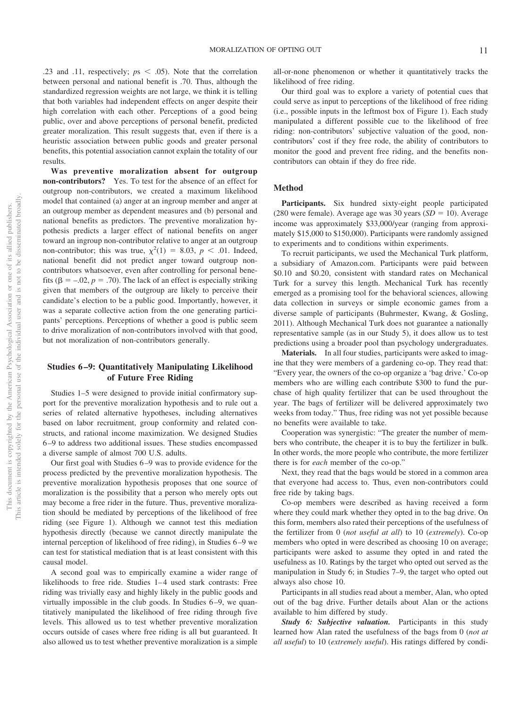.23 and .11, respectively;  $ps < .05$ ). Note that the correlation between personal and national benefit is .70. Thus, although the standardized regression weights are not large, we think it is telling that both variables had independent effects on anger despite their high correlation with each other. Perceptions of a good being public, over and above perceptions of personal benefit, predicted greater moralization. This result suggests that, even if there is a heuristic association between public goods and greater personal benefits, this potential association cannot explain the totality of our results.

**Was preventive moralization absent for outgroup non-contributors?** Yes. To test for the absence of an effect for outgroup non-contributors, we created a maximum likelihood model that contained (a) anger at an ingroup member and anger at an outgroup member as dependent measures and (b) personal and national benefits as predictors. The preventive moralization hypothesis predicts a larger effect of national benefits on anger toward an ingroup non-contributor relative to anger at an outgroup non-contributor; this was true,  $\chi^2(1) = 8.03$ ,  $p < .01$ . Indeed, national benefit did not predict anger toward outgroup noncontributors whatsoever, even after controlling for personal benefits  $(\beta = -.02, p = .70)$ . The lack of an effect is especially striking given that members of the outgroup are likely to perceive their candidate's election to be a public good. Importantly, however, it was a separate collective action from the one generating participants' perceptions. Perceptions of whether a good is public seem to drive moralization of non-contributors involved with that good, but not moralization of non-contributors generally.

# **Studies 6 –9: Quantitatively Manipulating Likelihood of Future Free Riding**

Studies 1–5 were designed to provide initial confirmatory support for the preventive moralization hypothesis and to rule out a series of related alternative hypotheses, including alternatives based on labor recruitment, group conformity and related constructs, and rational income maximization. We designed Studies 6 –9 to address two additional issues. These studies encompassed a diverse sample of almost 700 U.S. adults.

Our first goal with Studies 6 –9 was to provide evidence for the process predicted by the preventive moralization hypothesis. The preventive moralization hypothesis proposes that one source of moralization is the possibility that a person who merely opts out may become a free rider in the future. Thus, preventive moralization should be mediated by perceptions of the likelihood of free riding (see Figure 1). Although we cannot test this mediation hypothesis directly (because we cannot directly manipulate the internal perception of likelihood of free riding), in Studies 6 –9 we can test for statistical mediation that is at least consistent with this causal model.

A second goal was to empirically examine a wider range of likelihoods to free ride. Studies 1–4 used stark contrasts: Free riding was trivially easy and highly likely in the public goods and virtually impossible in the club goods. In Studies 6 –9, we quantitatively manipulated the likelihood of free riding through five levels. This allowed us to test whether preventive moralization occurs outside of cases where free riding is all but guaranteed. It also allowed us to test whether preventive moralization is a simple

all-or-none phenomenon or whether it quantitatively tracks the likelihood of free riding.

Our third goal was to explore a variety of potential cues that could serve as input to perceptions of the likelihood of free riding (i.e., possible inputs in the leftmost box of Figure 1). Each study manipulated a different possible cue to the likelihood of free riding: non-contributors' subjective valuation of the good, noncontributors' cost if they free rode, the ability of contributors to monitor the good and prevent free riding, and the benefits noncontributors can obtain if they do free ride.

#### **Method**

Participants. Six hundred sixty-eight people participated (280 were female). Average age was 30 years ( $SD = 10$ ). Average income was approximately \$33,000/year (ranging from approximately \$15,000 to \$150,000). Participants were randomly assigned to experiments and to conditions within experiments.

To recruit participants, we used the Mechanical Turk platform, a subsidiary of Amazon.com. Participants were paid between \$0.10 and \$0.20, consistent with standard rates on Mechanical Turk for a survey this length. Mechanical Turk has recently emerged as a promising tool for the behavioral sciences, allowing data collection in surveys or simple economic games from a diverse sample of participants (Buhrmester, Kwang, & Gosling, 2011). Although Mechanical Turk does not guarantee a nationally representative sample (as in our Study 5), it does allow us to test predictions using a broader pool than psychology undergraduates.

**Materials.** In all four studies, participants were asked to imagine that they were members of a gardening co-op. They read that: "Every year, the owners of the co-op organize a 'bag drive.' Co-op members who are willing each contribute \$300 to fund the purchase of high quality fertilizer that can be used throughout the year. The bags of fertilizer will be delivered approximately two weeks from today." Thus, free riding was not yet possible because no benefits were available to take.

Cooperation was synergistic: "The greater the number of members who contribute, the cheaper it is to buy the fertilizer in bulk. In other words, the more people who contribute, the more fertilizer there is for *each* member of the co-op."

Next, they read that the bags would be stored in a common area that everyone had access to. Thus, even non-contributors could free ride by taking bags.

Co-op members were described as having received a form where they could mark whether they opted in to the bag drive. On this form, members also rated their perceptions of the usefulness of the fertilizer from 0 (*not useful at all*) to 10 (*extremely*). Co-op members who opted in were described as choosing 10 on average; participants were asked to assume they opted in and rated the usefulness as 10. Ratings by the target who opted out served as the manipulation in Study 6; in Studies 7–9, the target who opted out always also chose 10.

Participants in all studies read about a member, Alan, who opted out of the bag drive. Further details about Alan or the actions available to him differed by study.

*Study 6: Subjective valuation.* Participants in this study learned how Alan rated the usefulness of the bags from 0 (*not at all useful*) to 10 (*extremely useful*). His ratings differed by condi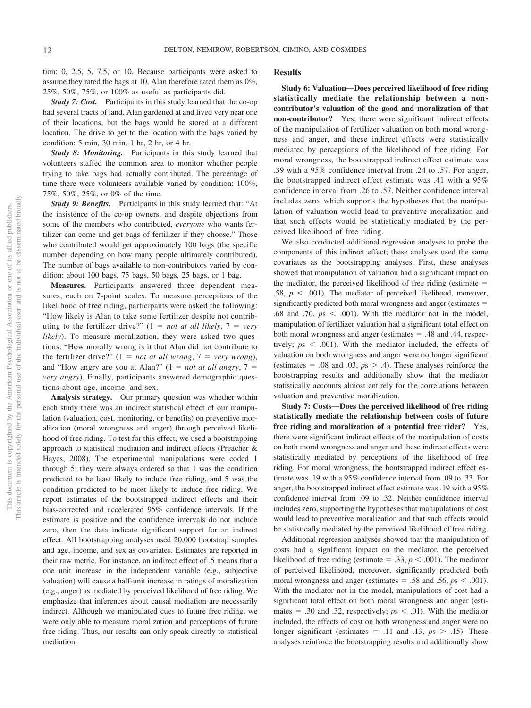tion: 0, 2.5, 5, 7.5, or 10. Because participants were asked to assume they rated the bags at 10, Alan therefore rated them as 0%, 25%, 50%, 75%, or 100% as useful as participants did.

*Study 7: Cost.* Participants in this study learned that the co-op had several tracts of land. Alan gardened at and lived very near one of their locations, but the bags would be stored at a different location. The drive to get to the location with the bags varied by condition: 5 min, 30 min, 1 hr, 2 hr, or 4 hr.

*Study 8: Monitoring.* Participants in this study learned that volunteers staffed the common area to monitor whether people trying to take bags had actually contributed. The percentage of time there were volunteers available varied by condition: 100%, 75%, 50%, 25%, or 0% of the time.

*Study 9: Benefits.* Participants in this study learned that: "At the insistence of the co-op owners, and despite objections from some of the members who contributed, *everyone* who wants fertilizer can come and get bags of fertilizer if they choose." Those who contributed would get approximately 100 bags (the specific number depending on how many people ultimately contributed). The number of bags available to non-contributors varied by condition: about 100 bags, 75 bags, 50 bags, 25 bags, or 1 bag.

**Measures.** Participants answered three dependent measures, each on 7-point scales. To measure perceptions of the likelihood of free riding, participants were asked the following: "How likely is Alan to take some fertilizer despite not contributing to the fertilizer drive?"  $(1 = not at all likely, 7 = very$ *likely*). To measure moralization, they were asked two questions: "How morally wrong is it that Alan did not contribute to the fertilizer drive?"  $(1 = not at all wrong, 7 = very wrong)$ , and "How angry are you at Alan?"  $(1 = not at all angry, 7 =$ *very angry*). Finally, participants answered demographic questions about age, income, and sex.

**Analysis strategy.** Our primary question was whether within each study there was an indirect statistical effect of our manipulation (valuation, cost, monitoring, or benefits) on preventive moralization (moral wrongness and anger) through perceived likelihood of free riding. To test for this effect, we used a bootstrapping approach to statistical mediation and indirect effects (Preacher & Hayes, 2008). The experimental manipulations were coded 1 through 5; they were always ordered so that 1 was the condition predicted to be least likely to induce free riding, and 5 was the condition predicted to be most likely to induce free riding. We report estimates of the bootstrapped indirect effects and their bias-corrected and accelerated 95% confidence intervals. If the estimate is positive and the confidence intervals do not include zero, then the data indicate significant support for an indirect effect. All bootstrapping analyses used 20,000 bootstrap samples and age, income, and sex as covariates. Estimates are reported in their raw metric. For instance, an indirect effect of .5 means that a one unit increase in the independent variable (e.g., subjective valuation) will cause a half-unit increase in ratings of moralization (e.g., anger) as mediated by perceived likelihood of free riding. We emphasize that inferences about causal mediation are necessarily indirect. Although we manipulated cues to future free riding, we were only able to measure moralization and perceptions of future free riding. Thus, our results can only speak directly to statistical mediation.

#### **Results**

**Study 6: Valuation—Does perceived likelihood of free riding statistically mediate the relationship between a noncontributor's valuation of the good and moralization of that non-contributor?** Yes, there were significant indirect effects of the manipulation of fertilizer valuation on both moral wrongness and anger, and these indirect effects were statistically mediated by perceptions of the likelihood of free riding. For moral wrongness, the bootstrapped indirect effect estimate was .39 with a 95% confidence interval from .24 to .57. For anger, the bootstrapped indirect effect estimate was .41 with a 95% confidence interval from .26 to .57. Neither confidence interval includes zero, which supports the hypotheses that the manipulation of valuation would lead to preventive moralization and that such effects would be statistically mediated by the perceived likelihood of free riding.

We also conducted additional regression analyses to probe the components of this indirect effect; these analyses used the same covariates as the bootstrapping analyses. First, these analyses showed that manipulation of valuation had a significant impact on the mediator, the perceived likelihood of free riding (estimate  $=$ .58,  $p < .001$ ). The mediator of perceived likelihood, moreover, significantly predicted both moral wrongness and anger (estimates =  $.68$  and  $.70$ ,  $ps < .001$ ). With the mediator not in the model, manipulation of fertilizer valuation had a significant total effect on both moral wrongness and anger (estimates  $= .48$  and  $.44$ , respectively;  $p_s < .001$ ). With the mediator included, the effects of valuation on both wrongness and anger were no longer significant (estimates  $= .08$  and  $.03$ ,  $ps > .4$ ). These analyses reinforce the bootstrapping results and additionally show that the mediator statistically accounts almost entirely for the correlations between valuation and preventive moralization.

**Study 7: Costs—Does the perceived likelihood of free riding statistically mediate the relationship between costs of future free riding and moralization of a potential free rider?** Yes, there were significant indirect effects of the manipulation of costs on both moral wrongness and anger and these indirect effects were statistically mediated by perceptions of the likelihood of free riding. For moral wrongness, the bootstrapped indirect effect estimate was .19 with a 95% confidence interval from .09 to .33. For anger, the bootstrapped indirect effect estimate was .19 with a 95% confidence interval from .09 to .32. Neither confidence interval includes zero, supporting the hypotheses that manipulations of cost would lead to preventive moralization and that such effects would be statistically mediated by the perceived likelihood of free riding.

Additional regression analyses showed that the manipulation of costs had a significant impact on the mediator, the perceived likelihood of free riding (estimate  $= .33, p < .001$ ). The mediator of perceived likelihood, moreover, significantly predicted both moral wrongness and anger (estimates  $= .58$  and  $.56$ ,  $ps < .001$ ). With the mediator not in the model, manipulations of cost had a significant total effect on both moral wrongness and anger (estimates  $= .30$  and .32, respectively;  $ps < .01$ ). With the mediator included, the effects of cost on both wrongness and anger were no longer significant (estimates  $= .11$  and .13,  $ps > .15$ ). These analyses reinforce the bootstrapping results and additionally show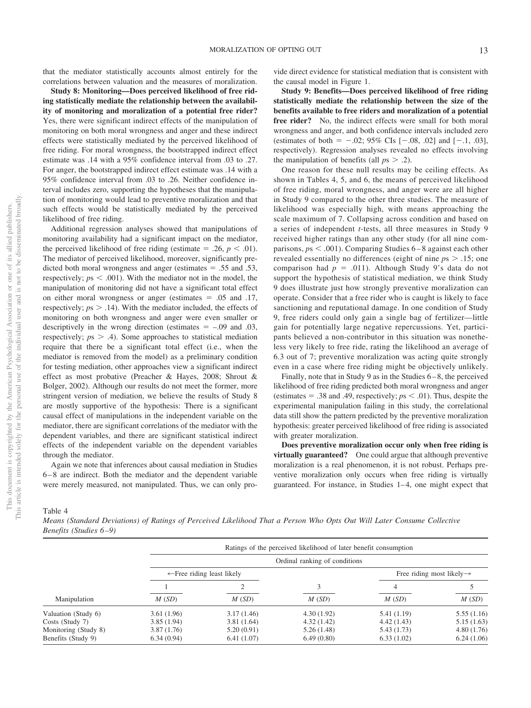that the mediator statistically accounts almost entirely for the correlations between valuation and the measures of moralization.

**Study 8: Monitoring—Does perceived likelihood of free riding statistically mediate the relationship between the availability of monitoring and moralization of a potential free rider?** Yes, there were significant indirect effects of the manipulation of monitoring on both moral wrongness and anger and these indirect effects were statistically mediated by the perceived likelihood of free riding. For moral wrongness, the bootstrapped indirect effect estimate was .14 with a 95% confidence interval from .03 to .27. For anger, the bootstrapped indirect effect estimate was .14 with a 95% confidence interval from .03 to .26. Neither confidence interval includes zero, supporting the hypotheses that the manipulation of monitoring would lead to preventive moralization and that such effects would be statistically mediated by the perceived likelihood of free riding.

Additional regression analyses showed that manipulations of monitoring availability had a significant impact on the mediator, the perceived likelihood of free riding (estimate  $= .26, p < .01$ ). The mediator of perceived likelihood, moreover, significantly predicted both moral wrongness and anger (estimates  $= .55$  and  $.53$ , respectively;  $ps < .001$ ). With the mediator not in the model, the manipulation of monitoring did not have a significant total effect on either moral wrongness or anger (estimates  $= .05$  and .17, respectively;  $p_s > .14$ ). With the mediator included, the effects of monitoring on both wrongness and anger were even smaller or descriptively in the wrong direction (estimates  $=$  -.09 and .03, respectively;  $p_s > .4$ ). Some approaches to statistical mediation require that there be a significant total effect (i.e., when the mediator is removed from the model) as a preliminary condition for testing mediation, other approaches view a significant indirect effect as most probative (Preacher & Hayes, 2008; Shrout & Bolger, 2002). Although our results do not meet the former, more stringent version of mediation, we believe the results of Study 8 are mostly supportive of the hypothesis: There is a significant causal effect of manipulations in the independent variable on the mediator, there are significant correlations of the mediator with the dependent variables, and there are significant statistical indirect effects of the independent variable on the dependent variables through the mediator.

Again we note that inferences about causal mediation in Studies 6 – 8 are indirect. Both the mediator and the dependent variable were merely measured, not manipulated. Thus, we can only pro-

vide direct evidence for statistical mediation that is consistent with the causal model in Figure 1.

**Study 9: Benefits—Does perceived likelihood of free riding statistically mediate the relationship between the size of the benefits available to free riders and moralization of a potential free rider?** No, the indirect effects were small for both moral wrongness and anger, and both confidence intervals included zero (estimates of both  $= -.02; 95\%$  CIs  $[-.08, .02]$  and  $[-.1, .03]$ , respectively). Regression analyses revealed no effects involving the manipulation of benefits (all  $ps > .2$ ).

One reason for these null results may be ceiling effects. As shown in Tables 4, 5, and 6, the means of perceived likelihood of free riding, moral wrongness, and anger were are all higher in Study 9 compared to the other three studies. The measure of likelihood was especially high, with means approaching the scale maximum of 7. Collapsing across condition and based on a series of independent *t*-tests, all three measures in Study 9 received higher ratings than any other study (for all nine comparisons,  $ps < .001$ ). Comparing Studies 6–8 against each other revealed essentially no differences (eight of nine *p*s .15; one comparison had  $p = .011$ ). Although Study 9's data do not support the hypothesis of statistical mediation, we think Study 9 does illustrate just how strongly preventive moralization can operate. Consider that a free rider who is caught is likely to face sanctioning and reputational damage. In one condition of Study 9, free riders could only gain a single bag of fertilizer—little gain for potentially large negative repercussions. Yet, participants believed a non-contributor in this situation was nonetheless very likely to free ride, rating the likelihood an average of 6.3 out of 7; preventive moralization was acting quite strongly even in a case where free riding might be objectively unlikely.

Finally, note that in Study 9 as in the Studies 6 – 8, the perceived likelihood of free riding predicted both moral wrongness and anger (estimates  $= .38$  and .49, respectively;  $ps < .01$ ). Thus, despite the experimental manipulation failing in this study, the correlational data still show the pattern predicted by the preventive moralization hypothesis: greater perceived likelihood of free riding is associated with greater moralization.

**Does preventive moralization occur only when free riding is virtually guaranteed?** One could argue that although preventive moralization is a real phenomenon, it is not robust. Perhaps preventive moralization only occurs when free riding is virtually guaranteed. For instance, in Studies 1– 4, one might expect that

Table 4

*Means (Standard Deviations) of Ratings of Perceived Likelihood That a Person Who Opts Out Will Later Consume Collective Benefits (Studies 6 –9)*

| Manipulation         |                                       | Ratings of the perceived likelihood of later benefit consumption |                               |                                       |            |  |  |  |
|----------------------|---------------------------------------|------------------------------------------------------------------|-------------------------------|---------------------------------------|------------|--|--|--|
|                      |                                       |                                                                  | Ordinal ranking of conditions |                                       |            |  |  |  |
|                      | $\leftarrow$ Free riding least likely |                                                                  |                               | Free riding most likely $\rightarrow$ |            |  |  |  |
|                      |                                       |                                                                  |                               |                                       |            |  |  |  |
|                      | M(SD)                                 | M(SD)                                                            | M(SD)                         | M(SD)                                 | M(SD)      |  |  |  |
| Valuation (Study 6)  | 3.61(1.96)                            | 3.17(1.46)                                                       | 4.30(1.92)                    | 5.41 (1.19)                           | 5.55(1.16) |  |  |  |
| Costs (Study 7)      | 3.85(1.94)                            | 3.81(1.64)                                                       | 4.32(1.42)                    | 4.42(1.43)                            | 5.15(1.63) |  |  |  |
| Monitoring (Study 8) | 3.87(1.76)                            | 5.20(0.91)                                                       | 5.26(1.48)                    | 5.43(1.73)                            | 4.80(1.76) |  |  |  |
| Benefits (Study 9)   | 6.34(0.94)                            | 6.41(1.07)                                                       | 6.49(0.80)                    | 6.33(1.02)                            | 6.24(1.06) |  |  |  |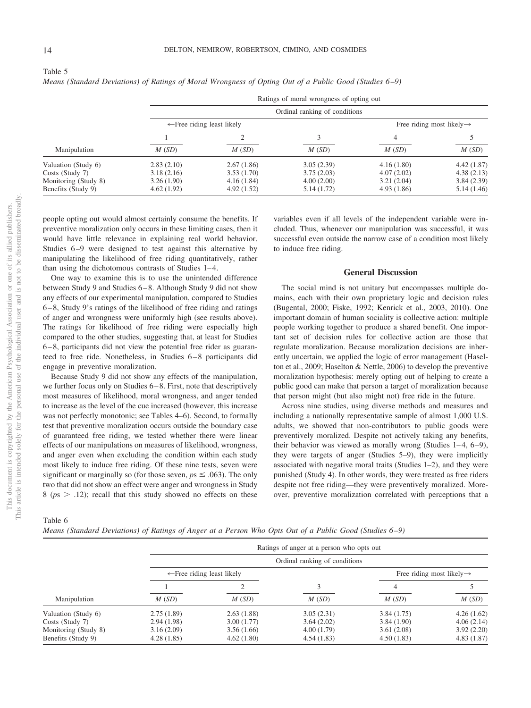|                      |            | Ratings of moral wrongness of opting out |                               |                                       |             |  |  |  |
|----------------------|------------|------------------------------------------|-------------------------------|---------------------------------------|-------------|--|--|--|
|                      |            |                                          | Ordinal ranking of conditions |                                       |             |  |  |  |
| Manipulation         |            | $\leftarrow$ Free riding least likely    |                               | Free riding most likely $\rightarrow$ |             |  |  |  |
|                      |            |                                          |                               |                                       |             |  |  |  |
|                      | M(SD)      | M(SD)                                    | M(SD)                         | M(SD)                                 | M(SD)       |  |  |  |
| Valuation (Study 6)  | 2.83(2.10) | 2.67(1.86)                               | 3.05(2.39)                    | 4.16(1.80)                            | 4.42(1.87)  |  |  |  |
| Costs (Study 7)      | 3.18(2.16) | 3.53(1.70)                               | 3.75(2.03)                    | 4.07(2.02)                            | 4.38(2.13)  |  |  |  |
| Monitoring (Study 8) | 3.26(1.90) | 4.16(1.84)                               | 4.00(2.00)                    | 3.21(2.04)                            | 3.84(2.39)  |  |  |  |
| Benefits (Study 9)   | 4.62(1.92) | 4.92(1.52)                               | 5.14 (1.72)                   | 4.93(1.86)                            | 5.14 (1.46) |  |  |  |

Table 5 *Means (Standard Deviations) of Ratings of Moral Wrongness of Opting Out of a Public Good (Studies 6 –9)*

people opting out would almost certainly consume the benefits. If preventive moralization only occurs in these limiting cases, then it would have little relevance in explaining real world behavior. Studies 6-9 were designed to test against this alternative by manipulating the likelihood of free riding quantitatively, rather than using the dichotomous contrasts of Studies 1– 4.

One way to examine this is to use the unintended difference between Study 9 and Studies 6 – 8. Although Study 9 did not show any effects of our experimental manipulation, compared to Studies 6 – 8, Study 9's ratings of the likelihood of free riding and ratings of anger and wrongness were uniformly high (see results above). The ratings for likelihood of free riding were especially high compared to the other studies, suggesting that, at least for Studies 6 – 8, participants did not view the potential free rider as guaranteed to free ride. Nonetheless, in Studies 6-8 participants did engage in preventive moralization.

Because Study 9 did not show any effects of the manipulation, we further focus only on Studies  $6-8$ . First, note that descriptively most measures of likelihood, moral wrongness, and anger tended to increase as the level of the cue increased (however, this increase was not perfectly monotonic; see Tables 4–6). Second, to formally test that preventive moralization occurs outside the boundary case of guaranteed free riding, we tested whether there were linear effects of our manipulations on measures of likelihood, wrongness, and anger even when excluding the condition within each study most likely to induce free riding. Of these nine tests, seven were significant or marginally so (for those seven,  $p_s \leq .063$ ). The only two that did not show an effect were anger and wrongness in Study  $8 (ps > .12)$ ; recall that this study showed no effects on these

variables even if all levels of the independent variable were included. Thus, whenever our manipulation was successful, it was successful even outside the narrow case of a condition most likely to induce free riding.

#### **General Discussion**

The social mind is not unitary but encompasses multiple domains, each with their own proprietary logic and decision rules (Bugental, 2000; Fiske, 1992; Kenrick et al., 2003, 2010). One important domain of human sociality is collective action: multiple people working together to produce a shared benefit. One important set of decision rules for collective action are those that regulate moralization. Because moralization decisions are inherently uncertain, we applied the logic of error management (Haselton et al., 2009; Haselton & Nettle, 2006) to develop the preventive moralization hypothesis: merely opting out of helping to create a public good can make that person a target of moralization because that person might (but also might not) free ride in the future.

Across nine studies, using diverse methods and measures and including a nationally representative sample of almost 1,000 U.S. adults, we showed that non-contributors to public goods were preventively moralized. Despite not actively taking any benefits, their behavior was viewed as morally wrong (Studies  $1-4$ ,  $6-9$ ), they were targets of anger (Studies 5–9), they were implicitly associated with negative moral traits (Studies 1–2), and they were punished (Study 4). In other words, they were treated as free riders despite not free riding—they were preventively moralized. Moreover, preventive moralization correlated with perceptions that a

Table 6

*Means (Standard Deviations) of Ratings of Anger at a Person Who Opts Out of a Public Good (Studies 6 –9)*

|                      |            | Ratings of anger at a person who opts out |                               |                                       |            |  |  |  |
|----------------------|------------|-------------------------------------------|-------------------------------|---------------------------------------|------------|--|--|--|
|                      |            |                                           | Ordinal ranking of conditions |                                       |            |  |  |  |
|                      |            | $\leftarrow$ Free riding least likely     |                               | Free riding most likely $\rightarrow$ |            |  |  |  |
|                      |            |                                           |                               |                                       |            |  |  |  |
| Manipulation         | M(SD)      | M(SD)                                     | M(SD)                         | M(SD)                                 | M(SD)      |  |  |  |
| Valuation (Study 6)  | 2.75(1.89) | 2.63(1.88)                                | 3.05(2.31)                    | 3.84(1.75)                            | 4.26(1.62) |  |  |  |
| Costs (Study 7)      | 2.94(1.98) | 3.00(1.77)                                | 3.64(2.02)                    | 3.84(1.90)                            | 4.06(2.14) |  |  |  |
| Monitoring (Study 8) | 3.16(2.09) | 3.56(1.66)                                | 4.00(1.79)                    | 3.61(2.08)                            | 3.92(2.20) |  |  |  |
| Benefits (Study 9)   | 4.28(1.85) | 4.62(1.80)                                | 4.54(1.83)                    | 4.50(1.83)                            | 4.83(1.87) |  |  |  |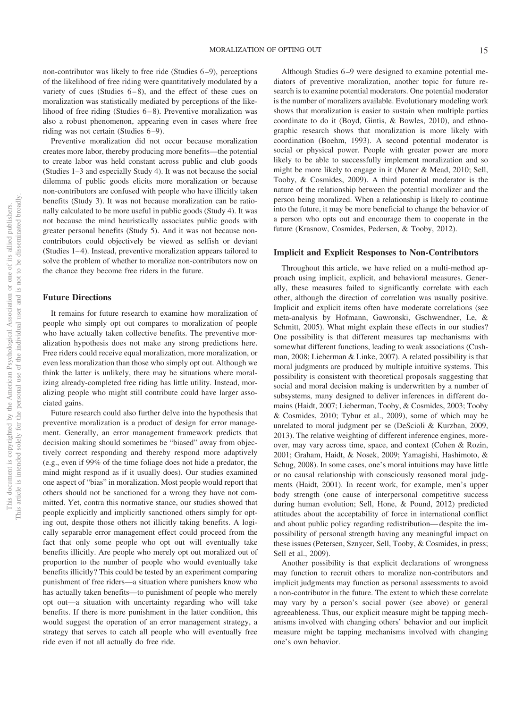non-contributor was likely to free ride (Studies 6–9), perceptions of the likelihood of free riding were quantitatively modulated by a variety of cues (Studies  $6-8$ ), and the effect of these cues on moralization was statistically mediated by perceptions of the likelihood of free riding (Studies 6–8). Preventive moralization was also a robust phenomenon, appearing even in cases where free riding was not certain (Studies 6 –9).

Preventive moralization did not occur because moralization creates more labor, thereby producing more benefits—the potential to create labor was held constant across public and club goods (Studies 1–3 and especially Study 4). It was not because the social dilemma of public goods elicits more moralization or because non-contributors are confused with people who have illicitly taken benefits (Study 3). It was not because moralization can be rationally calculated to be more useful in public goods (Study 4). It was not because the mind heuristically associates public goods with greater personal benefits (Study 5). And it was not because noncontributors could objectively be viewed as selfish or deviant (Studies 1– 4). Instead, preventive moralization appears tailored to solve the problem of whether to moralize non-contributors now on the chance they become free riders in the future.

# **Future Directions**

It remains for future research to examine how moralization of people who simply opt out compares to moralization of people who have actually taken collective benefits. The preventive moralization hypothesis does not make any strong predictions here. Free riders could receive equal moralization, more moralization, or even less moralization than those who simply opt out. Although we think the latter is unlikely, there may be situations where moralizing already-completed free riding has little utility. Instead, moralizing people who might still contribute could have larger associated gains.

Future research could also further delve into the hypothesis that preventive moralization is a product of design for error management. Generally, an error management framework predicts that decision making should sometimes be "biased" away from objectively correct responding and thereby respond more adaptively (e.g., even if 99% of the time foliage does not hide a predator, the mind might respond as if it usually does). Our studies examined one aspect of "bias" in moralization. Most people would report that others should not be sanctioned for a wrong they have not committed. Yet, contra this normative stance, our studies showed that people explicitly and implicitly sanctioned others simply for opting out, despite those others not illicitly taking benefits. A logically separable error management effect could proceed from the fact that only some people who opt out will eventually take benefits illicitly. Are people who merely opt out moralized out of proportion to the number of people who would eventually take benefits illicitly? This could be tested by an experiment comparing punishment of free riders—a situation where punishers know who has actually taken benefits—to punishment of people who merely opt out—a situation with uncertainty regarding who will take benefits. If there is more punishment in the latter condition, this would suggest the operation of an error management strategy, a strategy that serves to catch all people who will eventually free ride even if not all actually do free ride.

Although Studies 6–9 were designed to examine potential mediators of preventive moralization, another topic for future research is to examine potential moderators. One potential moderator is the number of moralizers available. Evolutionary modeling work shows that moralization is easier to sustain when multiple parties coordinate to do it (Boyd, Gintis, & Bowles, 2010), and ethnographic research shows that moralization is more likely with coordination (Boehm, 1993). A second potential moderator is social or physical power. People with greater power are more likely to be able to successfully implement moralization and so might be more likely to engage in it (Maner & Mead, 2010; Sell, Tooby, & Cosmides, 2009). A third potential moderator is the nature of the relationship between the potential moralizer and the person being moralized. When a relationship is likely to continue into the future, it may be more beneficial to change the behavior of a person who opts out and encourage them to cooperate in the future (Krasnow, Cosmides, Pedersen, & Tooby, 2012).

## **Implicit and Explicit Responses to Non-Contributors**

Throughout this article, we have relied on a multi-method approach using implicit, explicit, and behavioral measures. Generally, these measures failed to significantly correlate with each other, although the direction of correlation was usually positive. Implicit and explicit items often have moderate correlations (see meta-analysis by Hofmann, Gawronski, Gschwendner, Le, & Schmitt, 2005). What might explain these effects in our studies? One possibility is that different measures tap mechanisms with somewhat different functions, leading to weak associations (Cushman, 2008; Lieberman & Linke, 2007). A related possibility is that moral judgments are produced by multiple intuitive systems. This possibility is consistent with theoretical proposals suggesting that social and moral decision making is underwritten by a number of subsystems, many designed to deliver inferences in different domains (Haidt, 2007; Lieberman, Tooby, & Cosmides, 2003; Tooby & Cosmides, 2010; Tybur et al., 2009), some of which may be unrelated to moral judgment per se (DeScioli & Kurzban, 2009, 2013). The relative weighting of different inference engines, moreover, may vary across time, space, and context (Cohen & Rozin, 2001; Graham, Haidt, & Nosek, 2009; Yamagishi, Hashimoto, & Schug, 2008). In some cases, one's moral intuitions may have little or no causal relationship with consciously reasoned moral judgments (Haidt, 2001). In recent work, for example, men's upper body strength (one cause of interpersonal competitive success during human evolution; Sell, Hone, & Pound, 2012) predicted attitudes about the acceptability of force in international conflict and about public policy regarding redistribution— despite the impossibility of personal strength having any meaningful impact on these issues (Petersen, Sznycer, Sell, Tooby, & Cosmides, in press; Sell et al., 2009).

Another possibility is that explicit declarations of wrongness may function to recruit others to moralize non-contributors and implicit judgments may function as personal assessments to avoid a non-contributor in the future. The extent to which these correlate may vary by a person's social power (see above) or general agreeableness. Thus, our explicit measure might be tapping mechanisms involved with changing others' behavior and our implicit measure might be tapping mechanisms involved with changing one's own behavior.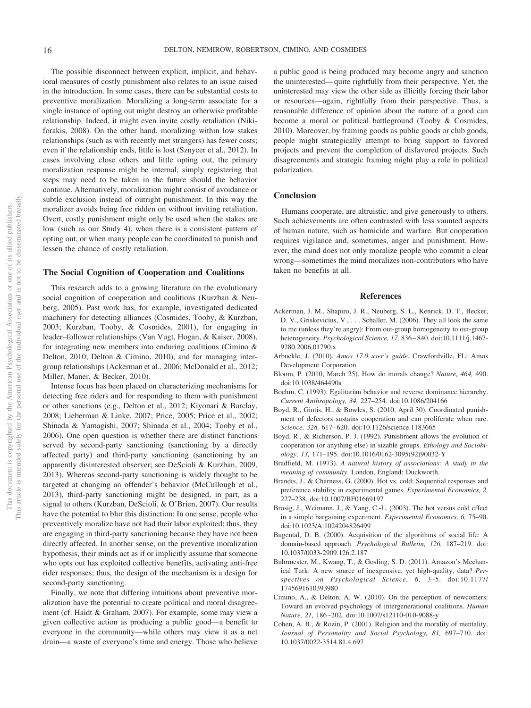The possible disconnect between explicit, implicit, and behavioral measures of costly punishment also relates to an issue raised in the introduction. In some cases, there can be substantial costs to preventive moralization. Moralizing a long-term associate for a single instance of opting out might destroy an otherwise profitable relationship. Indeed, it might even invite costly retaliation (Nikiforakis, 2008). On the other hand, moralizing within low stakes relationships (such as with recently met strangers) has fewer costs; even if the relationship ends, little is lost (Sznycer et al., 2012). In cases involving close others and little opting out, the primary moralization response might be internal, simply registering that steps may need to be taken in the future should the behavior continue. Alternatively, moralization might consist of avoidance or subtle exclusion instead of outright punishment. In this way the moralizer avoids being free ridden on without inviting retaliation. Overt, costly punishment might only be used when the stakes are low (such as our Study 4), when there is a consistent pattern of opting out, or when many people can be coordinated to punish and lessen the chance of costly retaliation.

#### **The Social Cognition of Cooperation and Coalitions**

This research adds to a growing literature on the evolutionary social cognition of cooperation and coalitions (Kurzban & Neuberg, 2005). Past work has, for example, investigated dedicated machinery for detecting alliances (Cosmides, Tooby, & Kurzban, 2003; Kurzban, Tooby, & Cosmides, 2001), for engaging in leader–follower relationships (Van Vugt, Hogan, & Kaiser, 2008), for integrating new members into enduring coalitions (Cimino & Delton, 2010; Delton & Cimino, 2010), and for managing intergroup relationships (Ackerman et al., 2006; McDonald et al., 2012; Miller, Maner, & Becker, 2010).

Intense focus has been placed on characterizing mechanisms for detecting free riders and for responding to them with punishment or other sanctions (e.g., Delton et al., 2012; Kiyonari & Barclay, 2008; Lieberman & Linke, 2007; Price, 2005; Price et al., 2002; Shinada & Yamagishi, 2007; Shinada et al., 2004; Tooby et al., 2006). One open question is whether there are distinct functions served by second-party sanctioning (sanctioning by a directly affected party) and third-party sanctioning (sanctioning by an apparently disinterested observer; see DeScioli & Kurzban, 2009, 2013). Whereas second-party sanctioning is widely thought to be targeted at changing an offender's behavior (McCullough et al., 2013), third-party sanctioning might be designed, in part, as a signal to others (Kurzban, DeScioli, & O'Brien, 2007). Our results have the potential to blur this distinction: In one sense, people who preventively moralize have not had their labor exploited; thus, they are engaging in third-party sanctioning because they have not been directly affected. In another sense, on the preventive moralization hypothesis, their minds act as if or implicitly assume that someone who opts out has exploited collective benefits, activating anti-free rider responses; thus, the design of the mechanism is a design for second-party sanctioning.

Finally, we note that differing intuitions about preventive moralization have the potential to create political and moral disagreement (cf. Haidt & Graham, 2007). For example, some may view a given collective action as producing a public good—a benefit to everyone in the community—while others may view it as a net drain—a waste of everyone's time and energy. Those who believe

a public good is being produced may become angry and sanction the uninterested— quite rightfully from their perspective. Yet, the uninterested may view the other side as illicitly forcing their labor or resources—again, rightfully from their perspective. Thus, a reasonable difference of opinion about the nature of a good can become a moral or political battleground (Tooby & Cosmides, 2010). Moreover, by framing goods as public goods or club goods, people might strategically attempt to bring support to favored projects and prevent the completion of disfavored projects. Such disagreements and strategic framing might play a role in political polarization.

# **Conclusion**

Humans cooperate, are altruistic, and give generously to others. Such achievements are often contrasted with less vaunted aspects of human nature, such as homicide and warfare. But cooperation requires vigilance and, sometimes, anger and punishment. However, the mind does not only moralize people who commit a clear wrong—sometimes the mind moralizes non-contributors who have taken no benefits at all.

# **References**

- Ackerman, J. M., Shapiro, J. R., Neuberg, S. L., Kenrick, D. T., Becker, D. V., Griskevicius, V., ... Schaller, M. (2006). They all look the same to me (unless they're angry): From out-group homogeneity to out-group heterogeneity. *Psychological Science, 17,* 836 – 840. doi:10.1111/j.1467- 9280.2006.01790.x
- Arbuckle, J. (2010). *Amos 17.0 user's guide*. Crawfordville, FL: Amos Development Corporation.
- Bloom, P. (2010, March 25). How do morals change? *Nature, 464,* 490. doi:10.1038/464490a
- Boehm, C. (1993). Egalitarian behavior and reverse dominance hierarchy. *Current Anthropology, 34,* 227–254. doi:10.1086/204166
- Boyd, R., Gintis, H., & Bowles, S. (2010, April 30). Coordinated punishment of defectors sustains cooperation and can proliferate when rare. *Science, 328,* 617– 620. doi:10.1126/science.1183665
- Boyd, R., & Richerson, P. J. (1992). Punishment allows the evolution of cooperation (or anything else) in sizable groups. *Ethology and Sociobiology, 13,* 171–195. doi:10.1016/0162-3095(92)90032-Y
- Bradfield, M. (1973). *A natural history of associations: A study in the meaning of community*. London, England: Duckworth.
- Brandts, J., & Charness, G. (2000). Hot vs. cold: Sequential responses and preference stability in experimental games. *Experimental Economics, 2,* 227–238. doi:10.1007/BF01669197
- Brosig, J., Weimann, J., & Yang, C.-L. (2003). The hot versus cold effect in a simple bargaining experiment. *Experimental Economics, 6,* 75–90. doi:10.1023/A:1024204826499
- Bugental, D. B. (2000). Acquisition of the algorithms of social life: A domain-based approach. *Psychological Bulletin, 126,* 187–219. doi: 10.1037/0033-2909.126.2.187
- Buhrmester, M., Kwang, T., & Gosling, S. D. (2011). Amazon's Mechanical Turk: A new source of inexpensive, yet high-quality, data? *Perspectives on Psychological Science, 6,* 3–5. doi:10.1177/ 1745691610393980
- Cimino, A., & Delton, A. W. (2010). On the perception of newcomers: Toward an evolved psychology of intergenerational coalitions. *Human Nature, 21,* 186 –202. doi:10.1007/s12110-010-9088-y
- Cohen, A. B., & Rozin, P. (2001). Religion and the morality of mentality. *Journal of Personality and Social Psychology, 81,* 697–710. doi: 10.1037/0022-3514.81.4.697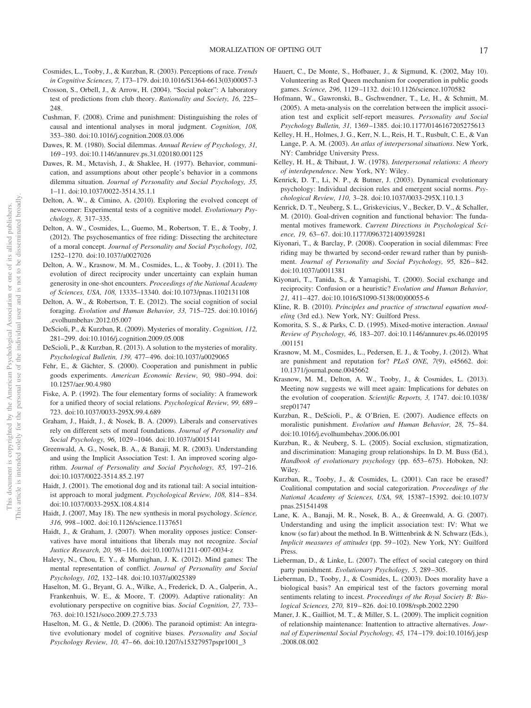- Cosmides, L., Tooby, J., & Kurzban, R. (2003). Perceptions of race. *Trends in Cognitive Sciences, 7,* 173–179. doi:10.1016/S1364-6613(03)00057-3
- Crosson, S., Orbell, J., & Arrow, H. (2004). "Social poker": A laboratory test of predictions from club theory. *Rationality and Society, 16,* 225– 248.
- Cushman, F. (2008). Crime and punishment: Distinguishing the roles of causal and intentional analyses in moral judgment. *Cognition, 108,* 353–380. doi:10.1016/j.cognition.2008.03.006
- Dawes, R. M. (1980). Social dilemmas. *Annual Review of Psychology, 31,* 169 –193. doi:10.1146/annurev.ps.31.020180.001125
- Dawes, R. M., Mctavish, J., & Shaklee, H. (1977). Behavior, communication, and assumptions about other people's behavior in a commons dilemma situation. *Journal of Personality and Social Psychology, 35,* 1–11. doi:10.1037/0022-3514.35.1.1
- Delton, A. W., & Cimino, A. (2010). Exploring the evolved concept of newcomer: Experimental tests of a cognitive model. *Evolutionary Psychology, 8,* 317–335.
- Delton, A. W., Cosmides, L., Guemo, M., Robertson, T. E., & Tooby, J. (2012). The psychosemantics of free riding: Dissecting the architecture of a moral concept. *Journal of Personality and Social Psychology, 102,* 1252–1270. doi:10.1037/a0027026
- Delton, A. W., Krasnow, M. M., Cosmides, L., & Tooby, J. (2011). The evolution of direct reciprocity under uncertainty can explain human generosity in one-shot encounters. *Proceedings of the National Academy of Sciences, USA, 108,* 13335–13340. doi:10.1073/pnas.1102131108
- Delton, A. W., & Robertson, T. E. (2012). The social cognition of social foraging. *Evolution and Human Behavior, 33,* 715–725. doi:10.1016/j .evolhumbehav.2012.05.007
- DeScioli, P., & Kurzban, R. (2009). Mysteries of morality. *Cognition, 112,* 281–299. doi:10.1016/j.cognition.2009.05.008
- DeScioli, P., & Kurzban, R. (2013). A solution to the mysteries of morality. *Psychological Bulletin, 139,* 477– 496. doi:10.1037/a0029065
- Fehr, E., & Gächter, S. (2000). Cooperation and punishment in public goods experiments. *American Economic Review, 90,* 980 –994. doi: 10.1257/aer.90.4.980
- Fiske, A. P. (1992). The four elementary forms of sociality: A framework for a unified theory of social relations. *Psychological Review, 99,* 689 – 723. doi:10.1037/0033-295X.99.4.689
- Graham, J., Haidt, J., & Nosek, B. A. (2009). Liberals and conservatives rely on different sets of moral foundations. *Journal of Personality and Social Psychology, 96,* 1029 –1046. doi:10.1037/a0015141
- Greenwald, A. G., Nosek, B. A., & Banaji, M. R. (2003). Understanding and using the Implicit Association Test: I. An improved scoring algorithm. *Journal of Personality and Social Psychology, 85,* 197–216. doi:10.1037/0022-3514.85.2.197
- Haidt, J. (2001). The emotional dog and its rational tail: A social intuitionist approach to moral judgment. *Psychological Review, 108,* 814 – 834. doi:10.1037/0033-295X.108.4.814
- Haidt, J. (2007, May 18). The new synthesis in moral psychology. *Science, 316,* 998 –1002. doi:10.1126/science.1137651
- Haidt, J., & Graham, J. (2007). When morality opposes justice: Conservatives have moral intuitions that liberals may not recognize. *Social Justice Research, 20,* 98 –116. doi:10.1007/s11211-007-0034-z
- Halevy, N., Chou, E. Y., & Murnighan, J. K. (2012). Mind games: The mental representation of conflict. *Journal of Personality and Social Psychology, 102,* 132–148. doi:10.1037/a0025389
- Haselton, M. G., Bryant, G. A., Wilke, A., Frederick, D. A., Galperin, A., Frankenhuis, W. E., & Moore, T. (2009). Adaptive rationality: An evolutionary perspective on cognitive bias. *Social Cognition, 27,* 733– 763. doi:10.1521/soco.2009.27.5.733
- Haselton, M. G., & Nettle, D. (2006). The paranoid optimist: An integrative evolutionary model of cognitive biases. *Personality and Social Psychology Review, 10,* 47– 66. doi:10.1207/s15327957pspr1001\_3
- Hauert, C., De Monte, S., Hofbauer, J., & Sigmund, K. (2002, May 10). Volunteering as Red Queen mechanism for cooperation in public goods games. *Science, 296,* 1129 –1132. doi:10.1126/science.1070582
- Hofmann, W., Gawronski, B., Gschwendner, T., Le, H., & Schmitt, M. (2005). A meta-analysis on the correlation between the implicit association test and explicit self-report measures. *Personality and Social Psychology Bulletin, 31,* 1369 –1385. doi:10.1177/0146167205275613
- Kelley, H. H., Holmes, J. G., Kerr, N. L., Reis, H. T., Rusbult, C. E., & Van Lange, P. A. M. (2003). *An atlas of interpersonal situations*. New York, NY: Cambridge University Press.
- Kelley, H. H., & Thibaut, J. W. (1978). *Interpersonal relations: A theory of interdependence*. New York, NY: Wiley.
- Kenrick, D. T., Li, N. P., & Butner, J. (2003). Dynamical evolutionary psychology: Individual decision rules and emergent social norms. *Psychological Review, 110,* 3–28. doi:10.1037/0033-295X.110.1.3
- Kenrick, D. T., Neuberg, S. L., Griskevicius, V., Becker, D. V., & Schaller, M. (2010). Goal-driven cognition and functional behavior: The fundamental motives framework. *Current Directions in Psychological Science, 19,* 63– 67. doi:10.1177/0963721409359281
- Kiyonari, T., & Barclay, P. (2008). Cooperation in social dilemmas: Free riding may be thwarted by second-order reward rather than by punishment. *Journal of Personality and Social Psychology, 95,* 826 – 842. doi:10.1037/a0011381
- Kiyonari, T., Tanida, S., & Yamagishi, T. (2000). Social exchange and reciprocity: Confusion or a heuristic? *Evolution and Human Behavior, 21,* 411– 427. doi:10.1016/S1090-5138(00)00055-6
- Kline, R. B. (2010). *Principles and practice of structural equation modeling* (3rd ed.). New York, NY: Guilford Press.
- Komorita, S. S., & Parks, C. D. (1995). Mixed-motive interaction. *Annual Review of Psychology, 46,* 183–207. doi:10.1146/annurev.ps.46.020195 .001151
- Krasnow, M. M., Cosmides, L., Pedersen, E. J., & Tooby, J. (2012). What are punishment and reputation for? *PLoS ONE, 7*(9), e45662. doi: 10.1371/journal.pone.0045662
- Krasnow, M. M., Delton, A. W., Tooby, J., & Cosmides, L. (2013). Meeting now suggests we will meet again: Implications for debates on the evolution of cooperation. *Scientific Reports, 3,* 1747. doi:10.1038/ srep01747
- Kurzban, R., DeScioli, P., & O'Brien, E. (2007). Audience effects on moralistic punishment. *Evolution and Human Behavior, 28,* 75– 84. doi:10.1016/j.evolhumbehav.2006.06.001
- Kurzban, R., & Neuberg, S. L. (2005). Social exclusion, stigmatization, and discrimination: Managing group relationships. In D. M. Buss (Ed.), *Handbook of evolutionary psychology* (pp. 653-675). Hoboken, NJ: Wiley.
- Kurzban, R., Tooby, J., & Cosmides, L. (2001). Can race be erased? Coalitional computation and social categorization. *Proceedings of the National Academy of Sciences, USA, 98,* 15387–15392. doi:10.1073/ pnas.251541498
- Lane, K. A., Banaji, M. R., Nosek, B. A., & Greenwald, A. G. (2007). Understanding and using the implicit association test: IV: What we know (so far) about the method. In B. Witttenbrink & N. Schwarz (Eds.), *Implicit measures of attitudes* (pp. 59 –102). New York, NY: Guilford Press.
- Lieberman, D., & Linke, L. (2007). The effect of social category on third party punishment. *Evolutionary Psychology, 5,* 289 –305.
- Lieberman, D., Tooby, J., & Cosmides, L. (2003). Does morality have a biological basis? An empirical test of the factors governing moral sentiments relating to incest. *Proceedings of the Royal Society B: Biological Sciences, 270,* 819 – 826. doi:10.1098/rspb.2002.2290
- Maner, J. K., Gailliot, M. T., & Miller, S. L. (2009). The implicit cognition of relationship maintenance: Inattention to attractive alternatives. *Journal of Experimental Social Psychology, 45,* 174 –179. doi:10.1016/j.jesp .2008.08.002